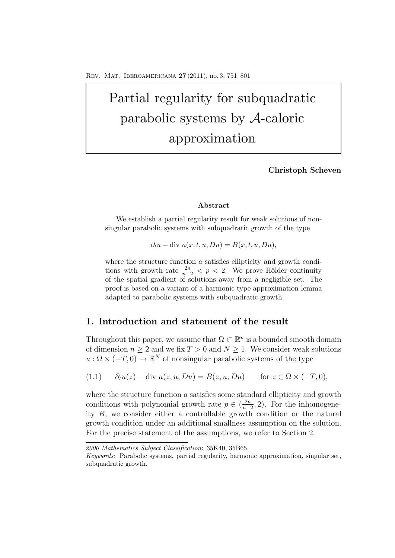# Partial regularity for subquadratic parabolic systems by A-caloric approximation

**Christoph Scheven**

#### **Abstract**

We establish a partial regularity result for weak solutions of nonsingular parabolic systems with subquadratic growth of the type

$$
\partial_t u - \text{div } a(x, t, u, Du) = B(x, t, u, Du),
$$

where the structure function a satisfies ellipticity and growth conditions with growth rate  $\frac{2n}{n+2} < p < 2$ . We prove Hölder continuity of the spatial gradient of solutions away from a negligible set. The proof is based on a variant of a harmonic type approximation lemma adapted to parabolic systems with subquadratic growth.

## **1. Introduction and statement of the result**

Throughout this paper, we assume that  $\Omega \subset \mathbb{R}^n$  is a bounded smooth domain of dimension  $n \geq 2$  and we fix  $T > 0$  and  $N \geq 1$ . We consider weak solutions  $u : \Omega \times (-T, 0) \to \mathbb{R}^N$  of nonsingular parabolic systems of the type

$$
(1.1) \qquad \partial_t u(z) - \text{div } a(z, u, Du) = B(z, u, Du) \qquad \text{for } z \in \Omega \times (-T, 0),
$$

where the structure function  $a$  satisfies some standard ellipticity and growth conditions with polynomial growth rate  $p \in (\frac{2n}{n+2}, 2)$ . For the inhomogeneity B, we consider either a controllable growth condition or the natural growth condition under an additional smallness assumption on the solution. For the precise statement of the assumptions, we refer to Section 2.

*<sup>2000</sup> Mathematics Subject Classification*: 35K40, 35B65.

*Keywords*: Parabolic systems, partial regularity, harmonic approximation, singular set, subquadratic growth.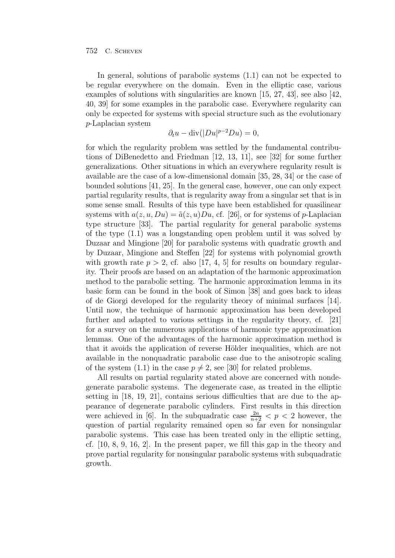In general, solutions of parabolic systems (1.1) can not be expected to be regular everywhere on the domain. Even in the elliptic case, various examples of solutions with singularities are known [15, 27, 43], see also [42, 40, 39] for some examples in the parabolic case. Everywhere regularity can only be expected for systems with special structure such as the evolutionary p-Laplacian system

$$
\partial_t u - \operatorname{div}(|Du|^{p-2}Du) = 0,
$$

for which the regularity problem was settled by the fundamental contributions of DiBenedetto and Friedman [12, 13, 11], see [32] for some further generalizations. Other situations in which an everywhere regularity result is available are the case of a low-dimensional domain [35, 28, 34] or the case of bounded solutions [41, 25]. In the general case, however, one can only expect partial regularity results, that is regularity away from a singular set that is in some sense small. Results of this type have been established for quasilinear systems with  $a(z, u, Du) = \tilde{a}(z, u)Du$ , cf. [26], or for systems of p-Laplacian type structure [33]. The partial regularity for general parabolic systems of the type (1.1) was a longstanding open problem until it was solved by Duzaar and Mingione [20] for parabolic systems with quadratic growth and by Duzaar, Mingione and Steffen [22] for systems with polynomial growth with growth rate  $p > 2$ , cf. also [17, 4, 5] for results on boundary regularity. Their proofs are based on an adaptation of the harmonic approximation method to the parabolic setting. The harmonic approximation lemma in its basic form can be found in the book of Simon [38] and goes back to ideas of de Giorgi developed for the regularity theory of minimal surfaces [14]. Until now, the technique of harmonic approximation has been developed further and adapted to various settings in the regularity theory, cf. [21] for a survey on the numerous applications of harmonic type approximation lemmas. One of the advantages of the harmonic approximation method is that it avoids the application of reverse Hölder inequalities, which are not available in the nonquadratic parabolic case due to the anisotropic scaling of the system (1.1) in the case  $p \neq 2$ , see [30] for related problems.

All results on partial regularity stated above are concerned with nondegenerate parabolic systems. The degenerate case, as treated in the elliptic setting in [18, 19, 21], contains serious difficulties that are due to the appearance of degenerate parabolic cylinders. First results in this direction were achieved in [6]. In the subquadratic case  $\frac{2n}{n+2} < p < 2$  however, the question of partial regularity remained open so far even for nonsingular parabolic systems. This case has been treated only in the elliptic setting, cf. [10, 8, 9, 16, 2]. In the present paper, we fill this gap in the theory and prove partial regularity for nonsingular parabolic systems with subquadratic growth.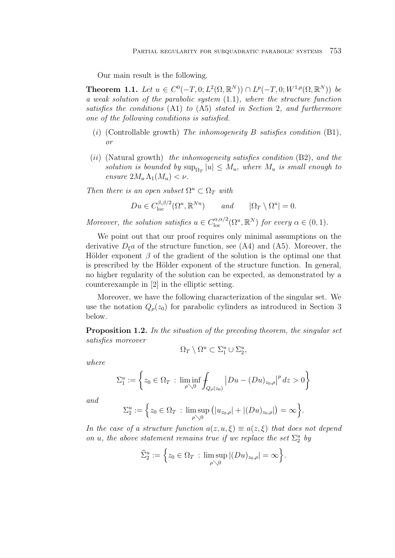Our main result is the following.

**Theorem 1.1.** Let  $u \in C^0(-T, 0; L^2(\Omega, \mathbb{R}^N)) \cap L^p(-T, 0; W^{1,p}(\Omega, \mathbb{R}^N))$  be a weak solution of the parabolic system (1.1), where the structure function satisfies the conditions (A1) to (A5) stated in Section 2, and furthermore one of the following conditions is satisfied.

- (i) (Controllable growth) The inhomogeneity B satisfies condition  $(B1)$ , or
- (ii) (Natural growth) the inhomogeneity satisfies condition  $(B2)$ , and the solution is bounded by  $\sup_{\Omega_T} |u| \leq M_u$ , where  $M_u$  is small enough to ensure  $2M_u \Lambda_1(M_u) < \nu$ .

Then there is an open subset  $\Omega^u \subset \Omega_T$  with

$$
Du \in C_{\text{loc}}^{\beta,\beta/2}(\Omega^u,\mathbb{R}^{Nn}) \qquad and \qquad |\Omega_T \setminus \Omega^u| = 0.
$$

Moreover, the solution satisfies  $u \in C^{\alpha,\alpha/2}_{\text{loc}}(\Omega^u,\mathbb{R}^N)$  for every  $\alpha \in (0,1)$ .

We point out that our proof requires only minimal assumptions on the derivative  $D_{\xi}a$  of the structure function, see (A4) and (A5). Moreover, the Hölder exponent  $\beta$  of the gradient of the solution is the optimal one that is prescribed by the Hölder exponent of the structure function. In general, no higher regularity of the solution can be expected, as demonstrated by a counterexample in [2] in the elliptic setting.

Moreover, we have the following characterization of the singular set. We use the notation  $Q_{\rho}(z_0)$  for parabolic cylinders as introduced in Section 3 below.

**Proposition 1.2.** In the situation of the preceding theorem, the singular set satisfies moreover

$$
\Omega_T \setminus \Omega^u \subset \Sigma_1^u \cup \Sigma_2^u,
$$

where

$$
\Sigma_1^u := \left\{ z_0 \in \Omega_T : \liminf_{\rho \searrow 0} \int_{Q_{\rho}(z_0)} |Du - (Du)_{z_0, \rho}|^p \, dz > 0 \right\}
$$

and

$$
\Sigma_2^u := \Big\{ z_0 \in \Omega_T \, : \, \limsup_{\rho \searrow 0} \big( |u_{z_0, \rho}| + |(Du)_{z_0, \rho}| \big) = \infty \Big\}.
$$

In the case of a structure function  $a(z, u, \xi) \equiv a(z, \xi)$  that does not depend on u, the above statement remains true if we replace the set  $\Sigma_2^u$  by

$$
\widehat{\Sigma}_2^u := \Big\{ z_0 \in \Omega_T \, : \, \limsup_{\rho \searrow 0} |(Du)_{z_0, \rho}| = \infty \Big\}.
$$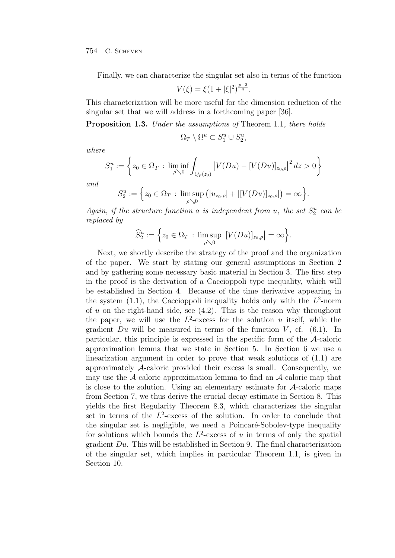Finally, we can characterize the singular set also in terms of the function

$$
V(\xi) = \xi \left(1 + |\xi|^2\right)^{\frac{p-2}{4}}.
$$

This characterization will be more useful for the dimension reduction of the singular set that we will address in a forthcoming paper [36].

**Proposition 1.3.** Under the assumptions of Theorem 1.1, there holds

$$
\Omega_T \setminus \Omega^u \subset S_1^u \cup S_2^u,
$$

where

$$
S_1^u := \left\{ z_0 \in \Omega_T : \liminf_{\rho \searrow 0} \int_{Q_{\rho}(z_0)} \left| V(Du) - [V(Du)]_{z_0, \rho} \right|^2 dz > 0 \right\}
$$

and

$$
S_2^u := \Big\{ z_0 \in \Omega_T : \limsup_{\rho \searrow 0} \big( |u_{z_0,\rho}| + |[V(Du)]_{z_0,\rho}|\big) = \infty \Big\}.
$$

Again, if the structure function a is independent from u, the set  $S_2^u$  can be replaced by

$$
\widehat{S}_2^u := \Big\{ z_0 \in \Omega_T : \limsup_{\rho \searrow 0} \big| [V(Du)]_{z_0, \rho} \big| = \infty \Big\}.
$$

Next, we shortly describe the strategy of the proof and the organization of the paper. We start by stating our general assumptions in Section 2 and by gathering some necessary basic material in Section 3. The first step in the proof is the derivation of a Caccioppoli type inequality, which will be established in Section 4. Because of the time derivative appearing in the system  $(1.1)$ , the Caccioppoli inequality holds only with the  $L^2$ -norm of u on the right-hand side, see  $(4.2)$ . This is the reason why throughout the paper, we will use the  $L^2$ -excess for the solution u itself, while the gradient  $Du$  will be measured in terms of the function V, cf. (6.1). In particular, this principle is expressed in the specific form of the A-caloric approximation lemma that we state in Section 5. In Section 6 we use a linearization argument in order to prove that weak solutions of (1.1) are approximately A-caloric provided their excess is small. Consequently, we may use the  $\mathcal{A}$ -caloric approximation lemma to find an  $\mathcal{A}$ -caloric map that is close to the solution. Using an elementary estimate for  $A$ -caloric maps from Section 7, we thus derive the crucial decay estimate in Section 8. This yields the first Regularity Theorem 8.3, which characterizes the singular set in terms of the  $L^2$ -excess of the solution. In order to conclude that the singular set is negligible, we need a Poincaré-Sobolev-type inequality for solutions which bounds the  $L^2$ -excess of u in terms of only the spatial gradient Du. This will be established in Section 9. The final characterization of the singular set, which implies in particular Theorem 1.1, is given in Section 10.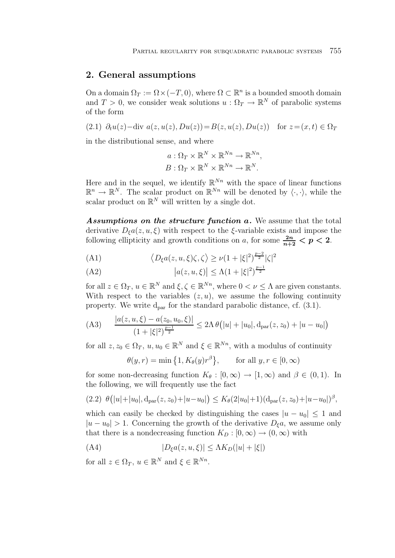## **2. General assumptions**

On a domain  $\Omega_T := \Omega \times (-T, 0)$ , where  $\Omega \subset \mathbb{R}^n$  is a bounded smooth domain and  $T > 0$ , we consider weak solutions  $u : \Omega_T \to \mathbb{R}^N$  of parabolic systems of the form

(2.1) 
$$
\partial_t u(z)
$$
—div  $a(z, u(z), Du(z)) = B(z, u(z), Du(z))$  for  $z = (x, t) \in \Omega_T$   
in the distributional sense, and when

in the distributional sense, and where

$$
a: \Omega_T \times \mathbb{R}^N \times \mathbb{R}^{Nn} \to \mathbb{R}^{Nn},
$$

$$
B: \Omega_T \times \mathbb{R}^N \times \mathbb{R}^{Nn} \to \mathbb{R}^N.
$$

Here and in the sequel, we identify  $\mathbb{R}^{Nn}$  with the space of linear functions  $\mathbb{R}^n \to \mathbb{R}^N$ . The scalar product on  $\mathbb{R}^{N_n}$  will be denoted by  $\langle \cdot, \cdot \rangle$ , while the scalar product on  $\mathbb{R}^N$  will written by a single dot.

*Assumptions on the structure function a.* We assume that the total derivative  $D_{\xi}a(z, u, \xi)$  with respect to the  $\xi$ -variable exists and impose the following ellipticity and growth conditions on a, for some  $\frac{2n}{n+2} < p < 2$ .

(A1) 
$$
\langle D_{\xi}a(z, u, \xi)\zeta, \zeta\rangle \geq \nu(1+|\xi|^2)^{\frac{p-2}{2}}|\zeta|^2
$$

(A2) 
$$
|a(z, u, \xi)| \le \Lambda (1 + |\xi|^2)^{\frac{p-1}{2}}
$$

for all  $z \in \Omega_T$ ,  $u \in \mathbb{R}^N$  and  $\xi, \zeta \in \mathbb{R}^{N_n}$ , where  $0 < \nu \leq \Lambda$  are given constants. With respect to the variables  $(z, u)$ , we assume the following continuity property. We write  $d_{par}$  for the standard parabolic distance, cf.  $(3.1)$ .

(A3) 
$$
\frac{|a(z, u, \xi) - a(z_0, u_0, \xi)|}{(1 + |\xi|^2)^{\frac{p-1}{2}}} \le 2\Lambda \theta (|u| + |u_0|, d_{\text{par}}(z, z_0) + |u - u_0|)
$$

for all  $z, z_0 \in \Omega_T$ ,  $u, u_0 \in \mathbb{R}^N$  and  $\xi \in \mathbb{R}^{N_n}$ , with a modulus of continuity

$$
\theta(y,r) = \min\left\{1, K_{\theta}(y)r^{\beta}\right\}, \quad \text{for all } y, r \in [0, \infty)
$$

for some non-decreasing function  $K_{\theta} : [0, \infty) \to [1, \infty)$  and  $\beta \in (0, 1)$ . In the following, we will frequently use the fact

$$
(2.2) \ \theta(|u|+|u_0|, d_{\text{par}}(z, z_0)+|u-u_0|) \leq K_{\theta}(2|u_0|+1)(d_{\text{par}}(z, z_0)+|u-u_0|)^{\beta},
$$

which can easily be checked by distinguishing the cases  $|u - u_0| \leq 1$  and  $|u - u_0| > 1$ . Concerning the growth of the derivative  $D_{\xi}a$ , we assume only that there is a nondecreasing function  $K_D : [0, \infty) \to (0, \infty)$  with

(A4) 
$$
|D_{\xi}a(z, u, \xi)| \leq \Lambda K_D(|u| + |\xi|)
$$

for all  $z \in \Omega_T$ ,  $u \in \mathbb{R}^N$  and  $\xi \in \mathbb{R}^{N_n}$ .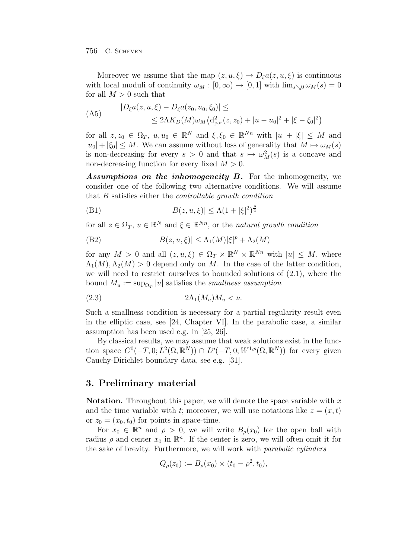Moreover we assume that the map  $(z, u, \xi) \mapsto D_{\xi} a(z, u, \xi)$  is continuous with local moduli of continuity  $\omega_M : [0, \infty) \to [0, 1]$  with  $\lim_{s \searrow 0} \omega_M(s) = 0$ for all  $M > 0$  such that

(A5) 
$$
|D_{\xi}a(z, u, \xi) - D_{\xi}a(z_0, u_0, \xi_0)| \le
$$
  
 
$$
\leq 2\Lambda K_D(M)\omega_M\left(\mathrm{d}_{\mathrm{par}}^2(z, z_0) + |u - u_0|^2 + |\xi - \xi_0|^2\right)
$$

for all  $z, z_0 \in \Omega_T$ ,  $u, u_0 \in \mathbb{R}^N$  and  $\xi, \xi_0 \in \mathbb{R}^{N_n}$  with  $|u| + |\xi| \leq M$  and  $|u_0| + |\xi_0| \leq M$ . We can assume without loss of generality that  $M \mapsto \omega_M(s)$ is non-decreasing for every  $s > 0$  and that  $s \mapsto \omega_M^2(s)$  is a concave and non-decreasing function for every fixed  $M > 0$ .

*Assumptions on the inhomogeneity B.* For the inhomogeneity, we consider one of the following two alternative conditions. We will assume that B satisfies either the controllable growth condition

(B1) 
$$
|B(z, u, \xi)| \le \Lambda (1 + |\xi|^2)^{\frac{p}{4}}
$$

for all  $z \in \Omega_T$ ,  $u \in \mathbb{R}^N$  and  $\xi \in \mathbb{R}^{N_n}$ , or the natural growth condition

(B2) 
$$
|B(z, u, \xi)| \leq \Lambda_1(M) |\xi|^p + \Lambda_2(M)
$$

for any  $M > 0$  and all  $(z, u, \xi) \in \Omega_T \times \mathbb{R}^N \times \mathbb{R}^{N_n}$  with  $|u| \leq M$ , where  $\Lambda_1(M), \Lambda_2(M) > 0$  depend only on M. In the case of the latter condition, we will need to restrict ourselves to bounded solutions of (2.1), where the bound  $M_u := \sup_{\Omega_T} |u|$  satisfies the smallness assumption

$$
(2.3) \t\t 2\Lambda_1(M_u)M_u < \nu.
$$

Such a smallness condition is necessary for a partial regularity result even in the elliptic case, see [24, Chapter VI]. In the parabolic case, a similar assumption has been used e.g. in [25, 26].

By classical results, we may assume that weak solutions exist in the function space  $C^0(-T, 0; L^2(\Omega, \mathbb{R}^N)) \cap L^p(-T, 0; W^{1,p}(\Omega, \mathbb{R}^N))$  for every given Cauchy-Dirichlet boundary data, see e.g. [31].

## **3. Preliminary material**

**Notation.** Throughout this paper, we will denote the space variable with x and the time variable with t; moreover, we will use notations like  $z = (x, t)$ or  $z_0 = (x_0, t_0)$  for points in space-time.

For  $x_0 \in \mathbb{R}^n$  and  $\rho > 0$ , we will write  $B_\rho(x_0)$  for the open ball with radius  $\rho$  and center  $x_0$  in  $\mathbb{R}^n$ . If the center is zero, we will often omit it for the sake of brevity. Furthermore, we will work with parabolic cylinders

$$
Q_{\rho}(z_0) := B_{\rho}(x_0) \times (t_0 - \rho^2, t_0),
$$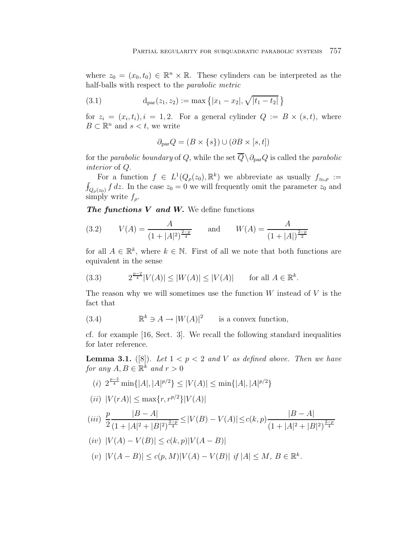where  $z_0 = (x_0, t_0) \in \mathbb{R}^n \times \mathbb{R}$ . These cylinders can be interpreted as the half-balls with respect to the parabolic metric

(3.1) 
$$
d_{par}(z_1, z_2) := max \{ |x_1 - x_2|, \sqrt{|t_1 - t_2|} \}
$$

for  $z_i = (x_i, t_i), i = 1, 2$ . For a general cylinder  $Q := B \times (s, t)$ , where  $B \subset \mathbb{R}^n$  and  $s < t$ , we write

$$
\partial_{\text{par}} Q = (B \times \{s\}) \cup (\partial B \times [s, t])
$$

for the parabolic boundary of Q, while the set  $\overline{Q}\setminus \partial_{\text{par}}Q$  is called the parabolic interior of Q.

For a function  $f \in L^1(Q_o(z_0), \mathbb{R}^k)$  we abbreviate as usually  $f_{z_0,o} :=$  $\int_{Q_\rho(z_0)} f dz$ . In the case  $z_0 = 0$  we will frequently omit the parameter  $z_0$  and  $\operatorname{simply}$  write  $f_\rho$ .

*The functions V and W.* We define functions

(3.2) 
$$
V(A) = \frac{A}{(1+|A|^2)^{\frac{2-p}{4}}}
$$
 and  $W(A) = \frac{A}{(1+|A|)^{\frac{2-p}{2}}}$ 

for all  $A \in \mathbb{R}^k$ , where  $k \in \mathbb{N}$ . First of all we note that both functions are equivalent in the sense

(3.3) 
$$
2^{\frac{p-2}{4}}|V(A)| \le |W(A)| \le |V(A)|
$$
 for all  $A \in \mathbb{R}^k$ .

The reason why we will sometimes use the function  $W$  instead of  $V$  is the fact that

(3.4) 
$$
\mathbb{R}^k \ni A \to |W(A)|^2 \quad \text{is a convex function,}
$$

cf. for example [16, Sect. 3]. We recall the following standard inequalities for later reference.

**Lemma 3.1.** ([8]). Let  $1 < p < 2$  and V as defined above. Then we have for any  $A, B \in \mathbb{R}^k$  and  $r > 0$ 

(i) 
$$
2^{\frac{p-2}{4}} \min\{|A|, |A|^{p/2}\} \le |V(A)| \le \min\{|A|, |A|^{p/2}\}
$$

(*ii*) 
$$
|V(rA)| \le \max\{r, r^{p/2}\}|V(A)|
$$

$$
(iii) \frac{p}{2} \frac{|B-A|}{(1+|A|^2+|B|^2)^{\frac{2-p}{4}}} \le |V(B)-V(A)| \le c(k,p) \frac{|B-A|}{(1+|A|^2+|B|^2)^{\frac{2-p}{4}}}
$$

(*iv*) 
$$
|V(A) - V(B)| \le c(k, p)|V(A - B)|
$$

(v) 
$$
|V(A - B)| \le c(p, M)|V(A) - V(B)|
$$
 if  $|A| \le M$ ,  $B \in \mathbb{R}^k$ .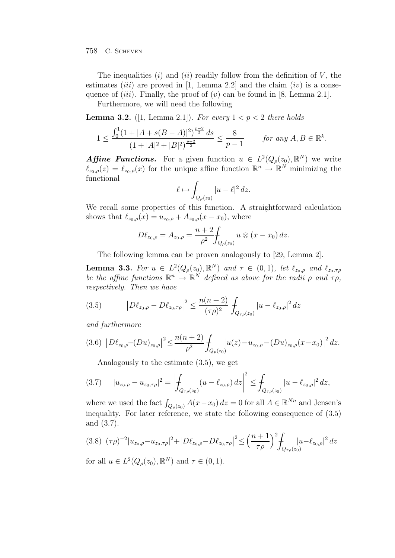The inequalities  $(i)$  and  $(ii)$  readily follow from the definition of V, the estimates (*iii*) are proved in [1, Lemma 2.2] and the claim (*iv*) is a consequence of  $(iii)$ . Finally, the proof of  $(v)$  can be found in [8, Lemma 2.1].

Furthermore, we will need the following

**Lemma 3.2.** ([1, Lemma 2.1]). For every  $1 < p < 2$  there holds

$$
1 \le \frac{\int_0^1 (1+|A+s(B-A)|^2)^{\frac{p-2}{2}} ds}{(1+|A|^2+|B|^2)^{\frac{p-2}{2}}} \le \frac{8}{p-1} \qquad \text{for any } A, B \in \mathbb{R}^k.
$$

**Affine Functions.** For a given function  $u \in L^2(Q_\rho(z_0), \mathbb{R}^N)$  we write  $\ell_{z_0,\rho}(z) = \ell_{z_0,\rho}(x)$  for the unique affine function  $\mathbb{R}^n \to \mathbb{R}^N$  minimizing the functional

$$
\ell \mapsto \int_{Q_{\rho}(z_0)} |u - \ell|^2 \, dz.
$$

We recall some properties of this function. A straightforward calculation shows that  $\ell_{z_0,\rho}(x) = u_{z_0,\rho} + A_{z_0,\rho}(x - x_0)$ , where

$$
D\ell_{z_0,\rho} = A_{z_0,\rho} = \frac{n+2}{\rho^2} \int_{Q_\rho(z_0)} u \otimes (x - x_0) \, dz.
$$

The following lemma can be proven analogously to [29, Lemma 2].

**Lemma 3.3.** For  $u \in L^2(Q_\rho(z_0), \mathbb{R}^N)$  and  $\tau \in (0, 1)$ , let  $\ell_{z_0, \rho}$  and  $\ell_{z_0, \tau \rho}$ be the affine functions  $\mathbb{R}^n \to \mathbb{R}^N$  defined as above for the radii  $\rho$  and  $\tau \rho$ , respectively. Then we have

(3.5) 
$$
\left| D\ell_{z_0,\rho} - D\ell_{z_0,\tau\rho} \right|^2 \le \frac{n(n+2)}{(\tau\rho)^2} \int_{Q_{\tau\rho}(z_0)} |u - \ell_{z_0,\rho}|^2 dz
$$

and furthermore

$$
(3.6)\ \left|D\ell_{z_0,\rho}-(Du)_{z_0,\rho}\right|^2 \leq \frac{n(n+2)}{\rho^2} \int_{Q_{\rho}(z_0)} \left|u(z) - u_{z_0,\rho}-(Du)_{z_0,\rho}(x-x_0)\right|^2 dz.
$$

Analogously to the estimate (3.5), we get

$$
(3.7) \t |u_{z_0,\rho}-u_{z_0,\tau\rho}|^2 = \left|\int_{Q_{\tau\rho}(z_0)} (u-\ell_{z_0,\rho}) dz\right|^2 \leq \int_{Q_{\tau\rho}(z_0)} |u-\ell_{z_0,\rho}|^2 dz,
$$

where we used the fact  $\int_{Q_{\rho}(z_0)} A(x-x_0) dz = 0$  for all  $A \in \mathbb{R}^{Nn}$  and Jensen's inequality. For later reference, we state the following consequence of (3.5) and (3.7).

$$
(3.8) \ (\tau \rho)^{-2} |u_{z_0, \rho} - u_{z_0, \tau \rho}|^{2} + |D\ell_{z_0, \rho} - D\ell_{z_0, \tau \rho}|^{2} \leq \left(\frac{n+1}{\tau \rho}\right)^{2} \int_{Q_{\tau \rho}(z_0)} |u - \ell_{z_0, \rho}|^{2} dz
$$
  
for all  $u \in L^{2}(Q_{\tau}(z_0), \mathbb{R}^{N})$  and  $\tau \in (0, 1)$ 

for all  $u \in L^2(Q_\rho(z_0), \mathbb{R}^N)$  and  $\tau \in (0, 1)$ .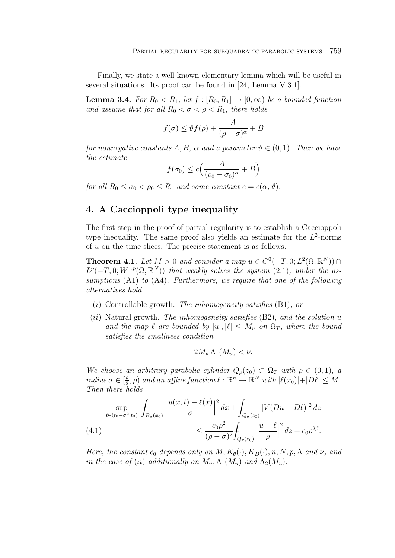Finally, we state a well-known elementary lemma which will be useful in several situations. Its proof can be found in [24, Lemma V.3.1].

**Lemma 3.4.** For  $R_0 < R_1$ , let  $f : [R_0, R_1] \rightarrow [0, \infty)$  be a bounded function and assume that for all  $R_0 < \sigma < \rho < R_1$ , there holds

$$
f(\sigma) \le \vartheta f(\rho) + \frac{A}{(\rho - \sigma)^{\alpha}} + B
$$

for nonnegative constants A, B,  $\alpha$  and a parameter  $\vartheta \in (0,1)$ . Then we have the estimate

$$
f(\sigma_0) \le c \Big(\frac{A}{(\rho_0 - \sigma_0)^{\alpha}} + B\Big)
$$

for all  $R_0 \leq \sigma_0 < \rho_0 \leq R_1$  and some constant  $c = c(\alpha, \vartheta)$ .

# **4. A Caccioppoli type inequality**

The first step in the proof of partial regularity is to establish a Caccioppoli type inequality. The same proof also yields an estimate for the  $L^2$ -norms of  $u$  on the time slices. The precise statement is as follows.

**Theorem 4.1.** Let  $M > 0$  and consider a map  $u \in C^0(-T, 0; L^2(\Omega, \mathbb{R}^N)) \cap$  $L^p(-T, 0; W^{1,p}(\Omega, \mathbb{R}^N))$  that weakly solves the system (2.1), under the assumptions (A1) to (A4). Furthermore, we require that one of the following alternatives hold.

- (i) Controllable growth. The inhomogeneity satisfies  $(B1)$ , or
- (ii) Natural growth. The inhomogeneity satisfies  $(B2)$ , and the solution u and the map  $\ell$  are bounded by  $|u|, |\ell| \leq M_u$  on  $\Omega_T$ , where the bound satisfies the smallness condition

$$
2M_u \Lambda_1(M_u) < \nu.
$$

We choose an arbitrary parabolic cylinder  $Q_{\rho}(z_0) \subset \Omega_T$  with  $\rho \in (0,1)$ , a radius  $\sigma \in [\frac{\rho}{2}, \rho)$  and an affine function  $\ell : \mathbb{R}^n \to \mathbb{R}^N$  with  $|\ell(x_0)| + |D\ell| \leq M$ . Then there holds

$$
\sup_{t \in (t_0 - \sigma^2, t_0)} \int_{B_{\sigma}(x_0)} \left| \frac{u(x, t) - \ell(x)}{\sigma} \right|^2 dx + \int_{Q_{\sigma}(z_0)} |V(Du - D\ell)|^2 dz
$$
\n
$$
\leq \frac{c_0 \rho^2}{(\rho - \sigma)^2} \int_{Q_{\rho}(z_0)} \left| \frac{u - \ell}{\rho} \right|^2 dz + c_0 \rho^{2\beta}.
$$

Here, the constant  $c_0$  depends only on  $M, K_\theta(\cdot), K_D(\cdot), n, N, p, \Lambda$  and  $\nu$ , and in the case of (ii) additionally on  $M_u, \Lambda_1(M_u)$  and  $\Lambda_2(M_u)$ .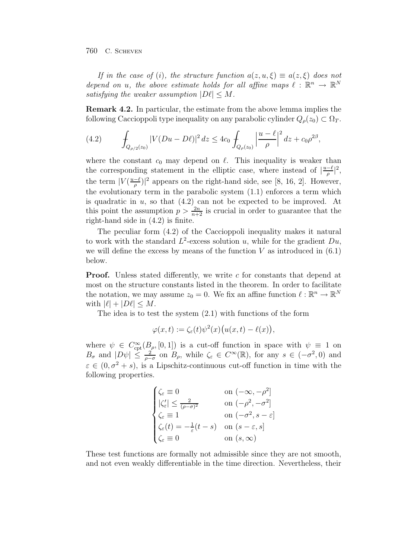If in the case of (i), the structure function  $a(z, u, \xi) \equiv a(z, \xi)$  does not depend on u, the above estimate holds for all affine maps  $\ell : \mathbb{R}^n \to \mathbb{R}^N$ satisfying the weaker assumption  $|D\ell| \leq M$ .

**Remark 4.2.** In particular, the estimate from the above lemma implies the following Caccioppoli type inequality on any parabolic cylinder  $Q_{\rho}(z_0) \subset \Omega_T$ .

(4.2) 
$$
\int_{Q_{\rho/2}(z_0)} |V(Du - D\ell)|^2 dz \leq 4c_0 \int_{Q_{\rho}(z_0)} \left| \frac{u - \ell}{\rho} \right|^2 dz + c_0 \rho^{2\beta},
$$

where the constant  $c_0$  may depend on  $\ell$ . This inequality is weaker than the corresponding statement in the elliptic case, where instead of  $|\frac{u-\ell}{\rho}|^2$ , the term  $|V(\frac{u-\ell}{\rho})|^2$  appears on the right-hand side, see [8, 16, 2]. However, the evolutionary term in the parabolic system (1.1) enforces a term which is quadratic in  $u$ , so that  $(4.2)$  can not be expected to be improved. At this point the assumption  $p > \frac{2n}{n+2}$  is crucial in order to guarantee that the right-hand side in (4.2) is finite.

The peculiar form (4.2) of the Caccioppoli inequality makes it natural to work with the standard  $L^2$ -excess solution u, while for the gradient  $Du$ , we will define the excess by means of the function  $V$  as introduced in  $(6.1)$ below.

**Proof.** Unless stated differently, we write c for constants that depend at most on the structure constants listed in the theorem. In order to facilitate the notation, we may assume  $z_0 = 0$ . We fix an affine function  $\ell : \mathbb{R}^n \to \mathbb{R}^N$ with  $|\ell| + |D\ell| \leq M$ .

The idea is to test the system (2.1) with functions of the form

$$
\varphi(x,t) := \zeta_{\varepsilon}(t)\psi^2(x)\big(u(x,t) - \ell(x)\big),
$$

where  $\psi \in C_{\rm cpt}^{\infty}(B_{\rho}, [0,1])$  is a cut-off function in space with  $\psi \equiv 1$  on  $B_{\sigma}$  and  $|D\psi| \leq \frac{2}{\rho-\sigma}$  on  $B_{\rho}$ , while  $\zeta_{\varepsilon} \in C^{\infty}(\mathbb{R})$ , for any  $s \in (-\sigma^2, 0)$  and  $\varepsilon \in (0, \sigma^2 + s)$ , is a Lipschitz-continuous cut-off function in time with the following properties.

$$
\begin{cases} \zeta_{\varepsilon} \equiv 0 & \text{on } (-\infty, -\rho^2] \\ |\zeta_{\varepsilon}'| \leq \frac{2}{(\rho - \sigma)^2} & \text{on } (-\rho^2, -\sigma^2] \\ \zeta_{\varepsilon} \equiv 1 & \text{on } (-\sigma^2, s - \varepsilon] \\ \zeta_{\varepsilon}(t) = -\frac{1}{\varepsilon}(t - s) & \text{on } (s - \varepsilon, s] \\ \zeta_{\varepsilon} \equiv 0 & \text{on } (s, \infty) \end{cases}
$$

These test functions are formally not admissible since they are not smooth, and not even weakly differentiable in the time direction. Nevertheless, their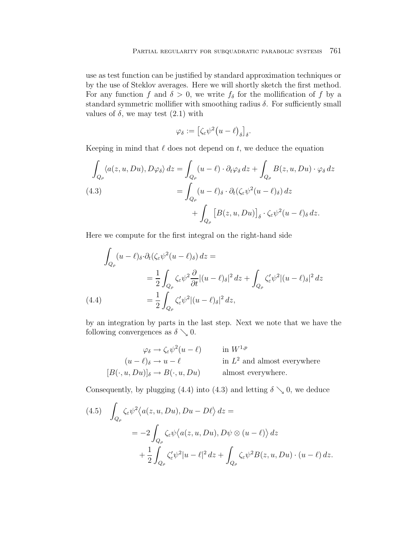use as test function can be justified by standard approximation techniques or by the use of Steklov averages. Here we will shortly sketch the first method. For any function f and  $\delta > 0$ , we write  $f_{\delta}$  for the mollification of f by a standard symmetric mollifier with smoothing radius  $\delta$ . For sufficiently small values of  $\delta$ , we may test  $(2.1)$  with

$$
\varphi_\delta:=\left[\zeta_\varepsilon\psi^2\big(u-\ell\big)_\delta\right]_\delta.
$$

Keeping in mind that  $\ell$  does not depend on  $t$ , we deduce the equation

$$
\int_{Q_{\rho}} \langle a(z, u, Du), D\varphi_{\delta} \rangle dz = \int_{Q_{\rho}} (u - \ell) \cdot \partial_{t} \varphi_{\delta} dz + \int_{Q_{\rho}} B(z, u, Du) \cdot \varphi_{\delta} dz
$$
\n
$$
(4.3) \qquad \qquad = \int_{Q_{\rho}} (u - \ell)_{\delta} \cdot \partial_{t} (\zeta_{\varepsilon} \psi^{2} (u - \ell)_{\delta}) dz
$$
\n
$$
+ \int_{Q_{\rho}} \left[ B(z, u, Du) \right]_{\delta} \cdot \zeta_{\varepsilon} \psi^{2} (u - \ell)_{\delta} dz.
$$

Here we compute for the first integral on the right-hand side

$$
\int_{Q_{\rho}} (u - \ell)_{\delta} \cdot \partial_t (\zeta_{\varepsilon} \psi^2 (u - \ell)_{\delta}) dz =
$$
\n
$$
= \frac{1}{2} \int_{Q_{\rho}} \zeta_{\varepsilon} \psi^2 \frac{\partial}{\partial t} |(u - \ell)_{\delta}|^2 dz + \int_{Q_{\rho}} \zeta_{\varepsilon}' \psi^2 |(u - \ell)_{\delta}|^2 dz
$$
\n
$$
(4.4) \qquad \qquad = \frac{1}{2} \int_{Q_{\rho}} \zeta_{\varepsilon}' \psi^2 |(u - \ell)_{\delta}|^2 dz,
$$

by an integration by parts in the last step. Next we note that we have the following convergences as  $\delta \searrow 0$ .

$$
\varphi_{\delta} \to \zeta_{\varepsilon} \psi^2 (u - \ell) \qquad \text{in } W^{1,p}
$$

$$
(u - \ell)_{\delta} \to u - \ell \qquad \text{in } L^2 \text{ and almost everywhere}
$$

$$
[B(\cdot, u, Du)]_{\delta} \to B(\cdot, u, Du) \qquad \text{almost everywhere.}
$$

Consequently, by plugging (4.4) into (4.3) and letting  $\delta \searrow 0$ , we deduce

(4.5) 
$$
\int_{Q_{\rho}} \zeta_{\varepsilon} \psi^2 \langle a(z, u, Du), Du - D\ell \rangle dz =
$$
  

$$
= -2 \int_{Q_{\rho}} \zeta_{\varepsilon} \psi \langle a(z, u, Du), D\psi \otimes (u - \ell) \rangle dz
$$
  

$$
+ \frac{1}{2} \int_{Q_{\rho}} \zeta'_{\varepsilon} \psi^2 |u - \ell|^2 dz + \int_{Q_{\rho}} \zeta_{\varepsilon} \psi^2 B(z, u, Du) \cdot (u - \ell) dz.
$$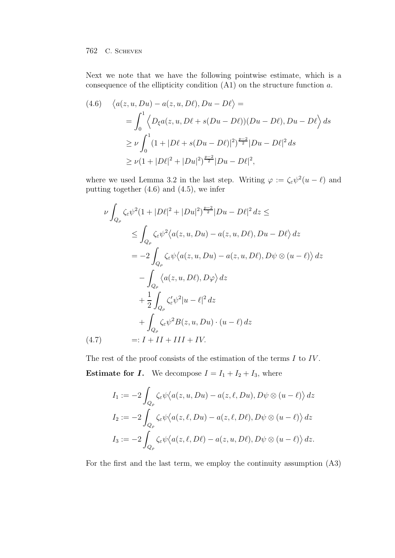Next we note that we have the following pointwise estimate, which is a consequence of the ellipticity condition  $(A1)$  on the structure function a.

$$
(4.6) \quad \langle a(z, u, Du) - a(z, u, D\ell), Du - D\ell \rangle =
$$
  
=  $\int_0^1 \langle D_\xi a(z, u, D\ell + s(Du - D\ell))(Du - D\ell), Du - D\ell \rangle ds$   
 $\ge \nu \int_0^1 (1 + |D\ell + s(Du - D\ell)|^2)^{\frac{p-2}{2}} |Du - D\ell|^2 ds$   
 $\ge \nu (1 + |D\ell|^2 + |Du|^2)^{\frac{p-2}{2}} |Du - D\ell|^2,$ 

where we used Lemma 3.2 in the last step. Writing  $\varphi := \zeta_{\varepsilon} \psi^2(u - \ell)$  and putting together (4.6) and (4.5), we infer

$$
\nu \int_{Q_{\rho}} \zeta_{\varepsilon} \psi^{2} (1 + |D\ell|^{2} + |Du|^{2})^{\frac{p-2}{2}} |Du - D\ell|^{2} dz \le
$$
  
\n
$$
\leq \int_{Q_{\rho}} \zeta_{\varepsilon} \psi^{2} \langle a(z, u, Du) - a(z, u, D\ell), Du - D\ell \rangle dz
$$
  
\n
$$
= -2 \int_{Q_{\rho}} \zeta_{\varepsilon} \psi \langle a(z, u, Du) - a(z, u, D\ell), D\psi \otimes (u - \ell) \rangle dz
$$
  
\n
$$
- \int_{Q_{\rho}} \langle a(z, u, D\ell), D\varphi \rangle dz
$$
  
\n
$$
+ \frac{1}{2} \int_{Q_{\rho}} \zeta'_{\varepsilon} \psi^{2} |u - \ell|^{2} dz
$$
  
\n
$$
+ \int_{Q_{\rho}} \zeta_{\varepsilon} \psi^{2} B(z, u, Du) \cdot (u - \ell) dz
$$
  
\n(4.7) 
$$
=: I + II + III + IV.
$$

The rest of the proof consists of the estimation of the terms  $I$  to  $IV$ . **Estimate for** *I***.** We decompose  $I = I_1 + I_2 + I_3$ , where

$$
I_1 := -2 \int_{Q_\rho} \zeta_\varepsilon \psi \langle a(z, u, Du) - a(z, \ell, Du), D\psi \otimes (u - \ell) \rangle dz
$$
  
\n
$$
I_2 := -2 \int_{Q_\rho} \zeta_\varepsilon \psi \langle a(z, \ell, Du) - a(z, \ell, D\ell), D\psi \otimes (u - \ell) \rangle dz
$$
  
\n
$$
I_3 := -2 \int_{Q_\rho} \zeta_\varepsilon \psi \langle a(z, \ell, D\ell) - a(z, u, D\ell), D\psi \otimes (u - \ell) \rangle dz.
$$

For the first and the last term, we employ the continuity assumption (A3)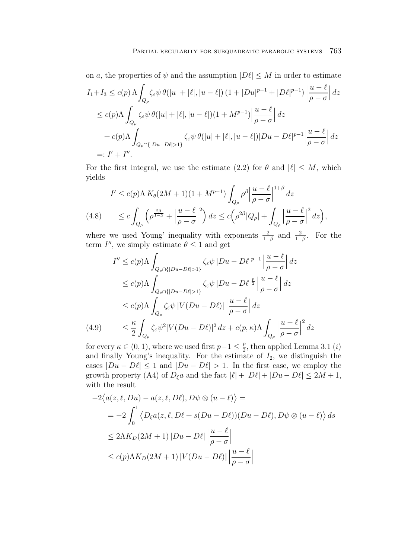on *a*, the properties of 
$$
\psi
$$
 and the assumption  $|D\ell| \le M$  in order to estimate  
\n
$$
I_1 + I_3 \le c(p) \Lambda \int_{Q_\rho} \zeta_{\varepsilon} \psi \,\theta(|u| + |\ell|, |u - \ell|) (1 + |Du|^{p-1} + |D\ell|^{p-1}) \left| \frac{u - \ell}{\rho - \sigma} \right| dz
$$
\n
$$
\le c(p) \Lambda \int_{Q_\rho} \zeta_{\varepsilon} \psi \,\theta(|u| + |\ell|, |u - \ell|) (1 + M^{p-1}) \left| \frac{u - \ell}{\rho - \sigma} \right| dz
$$
\n
$$
+ c(p) \Lambda \int_{Q_\rho \cap \{|Du - D\ell| > 1\}} \zeta_{\varepsilon} \psi \,\theta(|u| + |\ell|, |u - \ell|) |Du - D\ell|^{p-1} \left| \frac{u - \ell}{\rho - \sigma} \right| dz
$$
\n
$$
=: I' + I''.
$$

For the first integral, we use the estimate (2.2) for  $\theta$  and  $|\ell| \leq M$ , which yields

$$
I' \le c(p)\Lambda K_{\theta}(2M+1)(1+M^{p-1})\int_{Q_{\rho}}\rho^{\beta}\left|\frac{u-\ell}{\rho-\sigma}\right|^{1+\beta}dz
$$
  
(4.8) 
$$
\le c\int_{Q_{\rho}}\left(\rho^{\frac{2\beta}{1-\beta}}+\left|\frac{u-\ell}{\rho-\sigma}\right|^2\right)dz \le c\left(\rho^{2\beta}|Q_{\rho}|+\int_{Q_{\rho}}\left|\frac{u-\ell}{\rho-\sigma}\right|^2dz\right),
$$

where we used Young' inequality with exponents  $\frac{2}{1-\beta}$  and  $\frac{2}{1+\beta}$ . For the term  $I'',$  we simply estimate  $\theta \leq 1$  and get

$$
I'' \le c(p)\Lambda \int_{Q_{\rho} \cap \{|Du - D\ell| > 1\}} \zeta_{\varepsilon} \psi |Du - D\ell|^{p-1} \left| \frac{u - \ell}{\rho - \sigma} \right| dz
$$
  
\n
$$
\le c(p)\Lambda \int_{Q_{\rho} \cap \{|Du - D\ell| > 1\}} \zeta_{\varepsilon} \psi |Du - D\ell|^{p} \left| \frac{u - \ell}{\rho - \sigma} \right| dz
$$
  
\n
$$
\le c(p)\Lambda \int_{Q_{\rho}} \zeta_{\varepsilon} \psi |V(Du - D\ell)| \left| \frac{u - \ell}{\rho - \sigma} \right| dz
$$
  
\n(4.9) 
$$
\le \frac{\kappa}{2} \int_{Q_{\rho}} \zeta_{\varepsilon} \psi^{2} |V(Du - D\ell)|^{2} dz + c(p, \kappa) \Lambda \int_{Q_{\rho}} \left| \frac{u - \ell}{\rho - \sigma} \right|^{2} dz
$$

for every  $\kappa \in (0, 1)$ , where we used first  $p-1 \leq \frac{p}{2}$ , then applied Lemma 3.1 (*i*) and finally Young's inequality. For the estimate of  $I_2$ , we distinguish the cases  $|Du - D\ell| \leq 1$  and  $|Du - D\ell| > 1$ . In the first case, we employ the growth property (A4) of  $D_{\xi}a$  and the fact  $|\ell| + |D\ell| + |Du - D\ell| \leq 2M + 1$ , with the result

$$
-2\langle a(z,\ell,Du) - a(z,\ell,D\ell), D\psi \otimes (u - \ell) \rangle =
$$
  
= 
$$
-2\int_0^1 \langle D_{\xi}a(z,\ell,D\ell + s(Du - D\ell))(Du - D\ell), D\psi \otimes (u - \ell) \rangle ds
$$
  

$$
\leq 2\Lambda K_D(2M + 1) |Du - D\ell| \left| \frac{u - \ell}{\rho - \sigma} \right|
$$
  

$$
\leq c(p)\Lambda K_D(2M + 1) |V(Du - D\ell)| \left| \frac{u - \ell}{\rho - \sigma} \right|
$$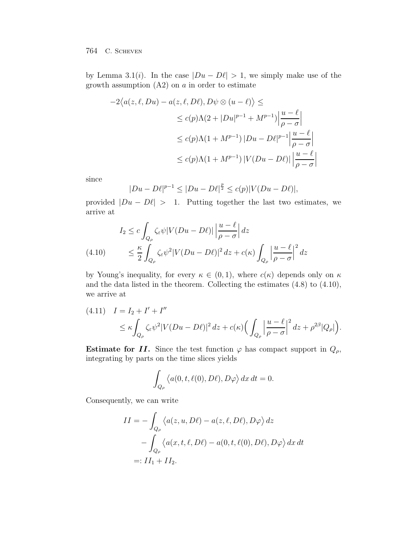by Lemma 3.1(*i*). In the case  $|Du - D\ell| > 1$ , we simply make use of the growth assumption  $(A2)$  on a in order to estimate

$$
-2\langle a(z,\ell,Du) - a(z,\ell,D\ell), D\psi \otimes (u-\ell) \rangle \le
$$
  

$$
\leq c(p)\Lambda(2+|Du|^{p-1}+M^{p-1})\left|\frac{u-\ell}{\rho-\sigma}\right|
$$
  

$$
\leq c(p)\Lambda(1+M^{p-1})|Du-D\ell|^{p-1}\left|\frac{u-\ell}{\rho-\sigma}\right|
$$
  

$$
\leq c(p)\Lambda(1+M^{p-1})|V(Du-D\ell)|\left|\frac{u-\ell}{\rho-\sigma}\right|
$$

since

$$
|Du - D\ell|^{p-1} \le |Du - D\ell|^{\frac{p}{2}} \le c(p)|V(Du - D\ell)|,
$$

provided  $|Du - D\ell| > 1$ . Putting together the last two estimates, we arrive at

$$
I_2 \le c \int_{Q_\rho} \zeta_\varepsilon \psi |V(Du - D\ell)| \left| \frac{u - \ell}{\rho - \sigma} \right| dz
$$
  
(4.10) 
$$
\le \frac{\kappa}{2} \int_{Q_\rho} \zeta_\varepsilon \psi^2 |V(Du - D\ell)|^2 dz + c(\kappa) \int_{Q_\rho} \left| \frac{u - \ell}{\rho - \sigma} \right|^2 dz
$$

by Young's inequality, for every  $\kappa \in (0,1)$ , where  $c(\kappa)$  depends only on  $\kappa$ and the data listed in the theorem. Collecting the estimates (4.8) to (4.10), we arrive at

$$
(4.11) \quad I = I_2 + I' + I''
$$
  
\n
$$
\leq \kappa \int_{Q_\rho} \zeta_\varepsilon \psi^2 |V(Du - D\ell)|^2 dz + c(\kappa) \Big( \int_{Q_\rho} \left| \frac{u - \ell}{\rho - \sigma} \right|^2 dz + \rho^{2\beta} |Q_\rho| \Big).
$$

**Estimate for** *II*. Since the test function  $\varphi$  has compact support in  $Q_{\rho}$ , integrating by parts on the time slices yields

$$
\int_{Q_{\rho}} \langle a(0, t, \ell(0), D\ell), D\varphi \rangle dx dt = 0.
$$

Consequently, we can write

$$
II = -\int_{Q_{\rho}} \langle a(z, u, D\ell) - a(z, \ell, D\ell), D\varphi \rangle dz
$$
  

$$
-\int_{Q_{\rho}} \langle a(x, t, \ell, D\ell) - a(0, t, \ell(0), D\ell), D\varphi \rangle dx dt
$$
  

$$
=: II_1 + II_2.
$$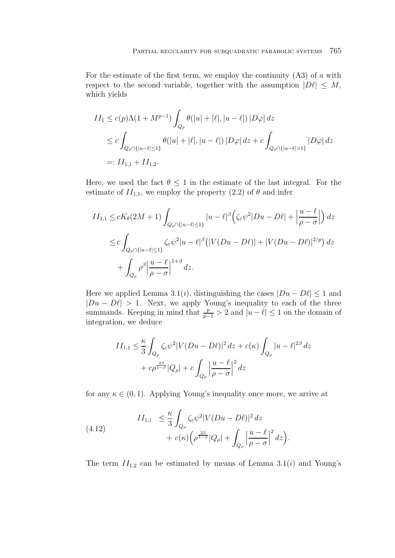For the estimate of the first term, we employ the continuity  $(A3)$  of a with respect to the second variable, together with the assumption  $|D\ell| \leq M$ , which yields

$$
II_1 \le c(p)\Lambda(1 + M^{p-1}) \int_{Q_\rho} \theta(|u| + |\ell|, |u - \ell|) |D\varphi| dz
$$
  
\n
$$
\le c \int_{Q_\rho \cap \{|u - \ell| \le 1\}} \theta(|u| + |\ell|, |u - \ell|) |D\varphi| dz + c \int_{Q_\rho \cap \{|u - \ell| > 1\}} |D\varphi| dz
$$
  
\n
$$
=: II_{1,1} + II_{1,2}.
$$

Here, we used the fact  $\theta \leq 1$  in the estimate of the last integral. For the estimate of  $II_{1,1}$ , we employ the property (2.2) of  $\theta$  and infer

$$
II_{1,1} \le cK_{\theta}(2M+1) \int_{Q_{\rho} \cap \{|u-\ell| \le 1\}} |u-\ell|^{\beta} \Big(\zeta_{\varepsilon} \psi^2 |Du - D\ell| + \left|\frac{u-\ell}{\rho-\sigma}\right|\Big) dz
$$
  

$$
\le c \int_{Q_{\rho} \cap \{|u-\ell| \le 1\}} \zeta_{\varepsilon} \psi^2 |u-\ell|^{\beta} \Big(|V(Du - D\ell)| + |V(Du - D\ell)|^{2/p}\Big) dz
$$
  

$$
+ \int_{Q_{\rho}} \rho^{\beta} \Big|\frac{u-\ell}{\rho-\sigma}\Big|^{1+\beta} dz.
$$

Here we applied Lemma 3.1(*i*), distinguishing the cases  $|Du - D\ell| \leq 1$  and  $|Du - D\ell| > 1$ . Next, we apply Young's inequality to each of the three summands. Keeping in mind that  $\frac{p}{p-1} > 2$  and  $|u - \ell| \leq 1$  on the domain of integration, we deduce

$$
II_{1,1} \leq \frac{\kappa}{3} \int_{Q_{\rho}} \zeta_{\varepsilon} \psi^2 |V(Du - D\ell)|^2 dz + c(\kappa) \int_{Q_{\rho}} |u - \ell|^{2\beta} dz
$$
  
+  $c\rho^{\frac{2\beta}{1-\beta}} |Q_{\rho}| + c \int_{Q_{\rho}} \left| \frac{u - \ell}{\rho - \sigma} \right|^2 dz$ 

for any  $\kappa \in (0,1)$ . Applying Young's inequality once more, we arrive at

(4.12) 
$$
II_{1,1} \leq \frac{\kappa}{3} \int_{Q_{\rho}} \zeta_{\varepsilon} \psi^2 |V(Du - D\ell)|^2 dz + c(\kappa) \Big( \rho^{\frac{2\beta}{1-\beta}} |Q_{\rho}| + \int_{Q_{\rho}} \Big| \frac{u - \ell}{\rho - \sigma} \Big|^2 dz \Big).
$$

The term  $II_{1,2}$  can be estimated by means of Lemma 3.1(i) and Young's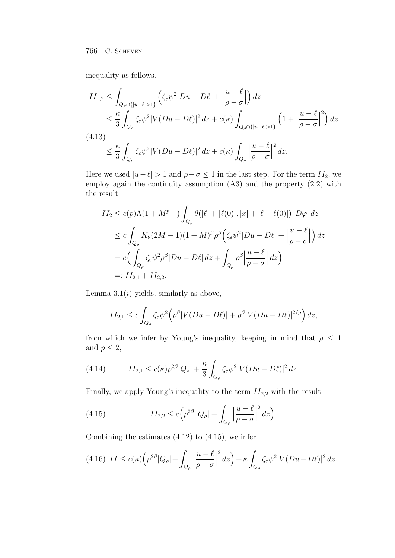inequality as follows.

$$
II_{1,2} \leq \int_{Q_{\rho} \cap \{|u-\ell|>1\}} \left( \zeta_{\varepsilon} \psi^2 |Du - D\ell| + \left| \frac{u - \ell}{\rho - \sigma} \right| \right) dz
$$
  
\n
$$
\leq \frac{\kappa}{3} \int_{Q_{\rho}} \zeta_{\varepsilon} \psi^2 |V(Du - D\ell)|^2 dz + c(\kappa) \int_{Q_{\rho} \cap \{|u-\ell|>1\}} \left( 1 + \left| \frac{u - \ell}{\rho - \sigma} \right|^2 \right) dz
$$
  
\n(4.13)  
\n
$$
\leq \frac{\kappa}{3} \int_{Q_{\rho}} \zeta_{\varepsilon} \psi^2 |V(Du - D\ell)|^2 dz + c(\kappa) \int_{Q_{\rho}} \left| \frac{u - \ell}{\rho - \sigma} \right|^2 dz.
$$

Here we used  $|u-\ell| > 1$  and  $\rho - \sigma \leq 1$  in the last step. For the term  $II_2$ , we employ again the continuity assumption (A3) and the property (2.2) with the result

$$
II_2 \le c(p)\Lambda(1+M^{p-1}) \int_{Q_\rho} \theta(|\ell| + |\ell(0)|, |x| + |\ell - \ell(0)|) |D\varphi| dz
$$
  
\n
$$
\le c \int_{Q_\rho} K_\theta(2M+1)(1+M)^\beta \rho^\beta \Big(\zeta_\varepsilon \psi^2 |Du - D\ell| + \left|\frac{u - \ell}{\rho - \sigma}\right|\Big) dz
$$
  
\n
$$
= c \Big(\int_{Q_\rho} \zeta_\varepsilon \psi^2 \rho^\beta |Du - D\ell| dz + \int_{Q_\rho} \rho^\beta \Big|\frac{u - \ell}{\rho - \sigma}\Big| dz\Big)
$$
  
\n
$$
=: II_{2,1} + II_{2,2}.
$$

Lemma  $3.1(i)$  yields, similarly as above,

$$
II_{2,1} \le c \int_{Q_{\rho}} \zeta_{\varepsilon} \psi^2 \Big( \rho^{\beta} |V(Du - D\ell)| + \rho^{\beta} |V(Du - D\ell)|^{2/p} \Big) dz,
$$

from which we infer by Young's inequality, keeping in mind that  $\rho\,\leq\,1$ and  $p \leq 2$ ,

(4.14) 
$$
II_{2,1} \le c(\kappa)\rho^{2\beta}|Q_{\rho}| + \frac{\kappa}{3}\int_{Q_{\rho}}\zeta_{\varepsilon}\psi^{2}|V(Du - D\ell)|^{2} dz.
$$

Finally, we apply Young's inequality to the term  $II_{2,2}$  with the result

(4.15) 
$$
II_{2,2} \le c \left( \rho^{2\beta} |Q_{\rho}| + \int_{Q_{\rho}} \left| \frac{u - \ell}{\rho - \sigma} \right|^2 dz \right).
$$

Combining the estimates  $(4.12)$  to  $(4.15)$ , we infer

$$
(4.16)\ \ II \le c(\kappa) \left(\rho^{2\beta} |Q_{\rho}| + \int_{Q_{\rho}} \left|\frac{u-\ell}{\rho-\sigma}\right|^2 dz\right) + \kappa \int_{Q_{\rho}} \zeta_{\varepsilon} \psi^2 |V(Du-D\ell)|^2 dz.
$$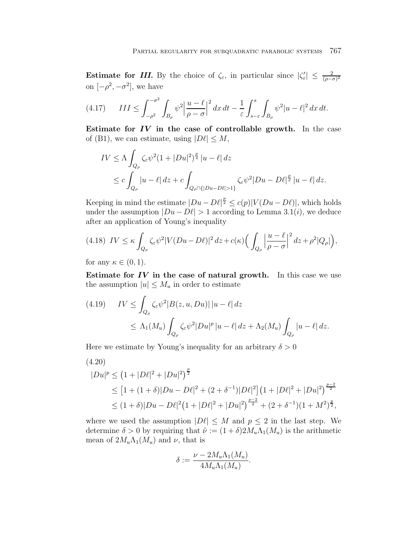**Estimate for** *III***.** By the choice of  $\zeta_{\varepsilon}$ , in particular since  $|\zeta'_{\varepsilon}| \leq \frac{2}{(\rho - \sigma)^2}$ on  $[-\rho^2, -\sigma^2]$ , we have

$$
(4.17) \qquad III \le \int_{-\rho^2}^{-\sigma^2} \int_{B_\rho} \psi^2 \left| \frac{u-\ell}{\rho-\sigma} \right|^2 dx \, dt - \frac{1}{\varepsilon} \int_{s-\varepsilon}^s \int_{B_\rho} \psi^2 |u-\ell|^2 \, dx \, dt.
$$

**Estimate for** *IV* **in the case of controllable growth.** In the case of (B1), we can estimate, using  $|D\ell| \leq M$ ,

$$
IV \leq \Lambda \int_{Q_{\rho}} \zeta_{\varepsilon} \psi^2 (1+|Du|^2)^{\frac{p}{4}} |u-\ell| \, dz
$$
  
 
$$
\leq c \int_{Q_{\rho}} |u-\ell| \, dz + c \int_{Q_{\rho} \cap \{|Du-D\ell|>1\}} \zeta_{\varepsilon} \psi^2 |Du-D\ell|^{\frac{p}{2}} |u-\ell| \, dz.
$$

Keeping in mind the estimate  $|Du - D\ell|^{\frac{p}{2}} \leq c(p)|V(Du - D\ell)|$ , which holds under the assumption  $|Du - D\ell| > 1$  according to Lemma 3.1(*i*), we deduce after an application of Young's inequality

$$
(4.18)\ IV \leq \kappa \int_{Q_{\rho}} \zeta_{\varepsilon} \psi^2 |V(Du - D\ell)|^2 dz + c(\kappa) \Big( \int_{Q_{\rho}} \left| \frac{u - \ell}{\rho - \sigma} \right|^2 dz + \rho^2 |Q_{\rho}| \Big),
$$

for any  $\kappa \in (0,1)$ .

**Estimate for** *IV* **in the case of natural growth.** In this case we use the assumption  $|u| \leq M_u$  in order to estimate

$$
(4.19) \quad IV \leq \int_{Q_{\rho}} \zeta_{\varepsilon} \psi^2 |B(z, u, Du)| \, |u - \ell| \, dz
$$
  
 
$$
\leq \Lambda_1(M_u) \int_{Q_{\rho}} \zeta_{\varepsilon} \psi^2 |Du|^p \, |u - \ell| \, dz + \Lambda_2(M_u) \int_{Q_{\rho}} |u - \ell| \, dz.
$$

Here we estimate by Young's inequality for an arbitrary  $\delta > 0$ 

$$
(4.20)
$$

$$
|Du|^p \le (1+|D\ell|^2+|Du|^2)^{\frac{p}{2}}
$$
  
\n
$$
\le [1+(1+\delta)|Du-D\ell|^2+(2+\delta^{-1})|D\ell|^2] \left(1+|D\ell|^2+|Du|^2\right)^{\frac{p-2}{2}}
$$
  
\n
$$
\le (1+\delta)|Du-D\ell|^2 \left(1+|D\ell|^2+|Du|^2\right)^{\frac{p-2}{2}}+(2+\delta^{-1})(1+M^2)^{\frac{p}{2}},
$$

where we used the assumption  $|D\ell| \leq M$  and  $p \leq 2$  in the last step. We determine  $\delta > 0$  by requiring that  $\tilde{\nu} := (1 + \delta) 2M_u \Lambda_1(M_u)$  is the arithmetic mean of  $2M_u\Lambda_1(M_u)$  and  $\nu$ , that is

$$
\delta := \frac{\nu - 2M_u \Lambda_1(M_u)}{4M_u \Lambda_1(M_u)}.
$$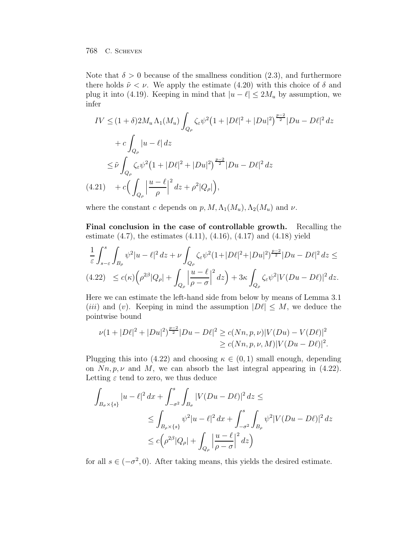Note that  $\delta > 0$  because of the smallness condition (2.3), and furthermore there holds  $\tilde{\nu} < \nu$ . We apply the estimate (4.20) with this choice of  $\delta$  and plug it into (4.19). Keeping in mind that  $|u - \ell| \leq 2M_u$  by assumption, we infer

$$
IV \leq (1+\delta)2M_u \Lambda_1(M_u) \int_{Q_\rho} \zeta_{\varepsilon} \psi^2 (1+|D\ell|^2 + |Du|^2)^{\frac{p-2}{2}} |Du - D\ell|^2 dz
$$
  
+  $c \int_{Q_\rho} |u - \ell| dz$   

$$
\leq \tilde{\nu} \int_{Q_\rho} \zeta_{\varepsilon} \psi^2 (1+|D\ell|^2 + |Du|^2)^{\frac{p-2}{2}} |Du - D\ell|^2 dz
$$
  
(4.21) +  $c \Big( \int_{Q_\rho} \left| \frac{u - \ell}{\rho} \right|^2 dz + \rho^2 |Q_\rho| \Big),$ 

where the constant c depends on  $p, M, \Lambda_1(M_u), \Lambda_2(M_u)$  and  $\nu$ .

**Final conclusion in the case of controllable growth.** Recalling the estimate  $(4.7)$ , the estimates  $(4.11)$ ,  $(4.16)$ ,  $(4.17)$  and  $(4.18)$  yield

$$
\frac{1}{\varepsilon} \int_{s-\varepsilon}^s \int_{B_\rho} \psi^2 |u-\ell|^2 \, dz + \nu \int_{Q_\rho} \zeta_\varepsilon \psi^2 (1+|D\ell|^2 + |Du|^2)^{\frac{p-2}{2}} |Du-D\ell|^2 \, dz \le
$$
\n
$$
(4.22) \le c(\kappa) \left( \rho^{2\beta} |Q_\rho| + \int_{Q_\rho} \left| \frac{u-\ell}{\rho-\sigma} \right|^2 dz \right) + 3\kappa \int_{Q_\rho} \zeta_\varepsilon \psi^2 |V(Du-D\ell)|^2 \, dz.
$$

Here we can estimate the left-hand side from below by means of Lemma 3.1 (*iii*) and (*v*). Keeping in mind the assumption  $|D\ell| \leq M$ , we deduce the pointwise bound

$$
\nu(1+|D\ell|^2+|Du|^2)^{\frac{p-2}{2}}|Du-D\ell|^2 \ge c(Nn,p,\nu)|V(Du)-V(D\ell)|^2
$$
  

$$
\ge c(Nn,p,\nu,M)|V(Du-D\ell)|^2.
$$

Plugging this into (4.22) and choosing  $\kappa \in (0,1)$  small enough, depending on  $Nn, p, \nu$  and M, we can absorb the last integral appearing in (4.22). Letting  $\varepsilon$  tend to zero, we thus deduce

$$
\int_{B_{\sigma}\times\{s\}} |u-\ell|^2 dx + \int_{-\sigma^2}^s \int_{B_{\sigma}} |V(Du-D\ell)|^2 dz \le
$$
\n
$$
\leq \int_{B_{\rho}\times\{s\}} \psi^2 |u-\ell|^2 dx + \int_{-\sigma^2}^s \int_{B_{\rho}} \psi^2 |V(Du-D\ell)|^2 dz
$$
\n
$$
\leq c \Big(\rho^{2\beta} |Q_{\rho}| + \int_{Q_{\rho}} \Big|\frac{u-\ell}{\rho-\sigma}\Big|^2 dz\Big)
$$

for all  $s \in (-\sigma^2, 0)$ . After taking means, this yields the desired estimate.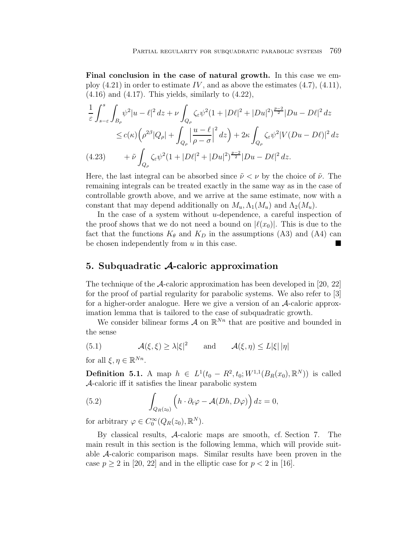**Final conclusion in the case of natural growth.** In this case we employ  $(4.21)$  in order to estimate  $IV$ , and as above the estimates  $(4.7)$ ,  $(4.11)$ ,  $(4.16)$  and  $(4.17)$ . This yields, similarly to  $(4.22)$ ,

$$
\frac{1}{\varepsilon} \int_{s-\varepsilon}^{s} \int_{B_{\rho}} \psi^2 |u - \ell|^2 dz + \nu \int_{Q_{\rho}} \zeta_{\varepsilon} \psi^2 (1 + |D\ell|^2 + |Du|^2)^{\frac{p-2}{2}} |Du - D\ell|^2 dz
$$
  
\n
$$
\leq c(\kappa) \left( \rho^{2\beta} |Q_{\rho}| + \int_{Q_{\rho}} \left| \frac{u - \ell}{\rho - \sigma} \right|^2 dz \right) + 2\kappa \int_{Q_{\rho}} \zeta_{\varepsilon} \psi^2 |V(Du - D\ell)|^2 dz
$$
  
\n(4.23) 
$$
+ \tilde{\nu} \int_{Q_{\rho}} \zeta_{\varepsilon} \psi^2 (1 + |D\ell|^2 + |Du|^2)^{\frac{p-2}{2}} |Du - D\ell|^2 dz.
$$

Here, the last integral can be absorbed since  $\tilde{\nu} < \nu$  by the choice of  $\tilde{\nu}$ . The remaining integrals can be treated exactly in the same way as in the case of controllable growth above, and we arrive at the same estimate, now with a constant that may depend additionally on  $M_u, \Lambda_1(M_u)$  and  $\Lambda_2(M_u)$ .

In the case of a system without  $u$ -dependence, a careful inspection of the proof shows that we do not need a bound on  $|\ell(x_0)|$ . This is due to the fact that the functions  $K_{\theta}$  and  $K_D$  in the assumptions (A3) and (A4) can be chosen independently from  $u$  in this case.

# **5. Subquadratic** *A***-caloric approximation**

The technique of the  $\mathcal{A}$ -caloric approximation has been developed in [20, 22] for the proof of partial regularity for parabolic systems. We also refer to [3] for a higher-order analogue. Here we give a version of an A-caloric approximation lemma that is tailored to the case of subquadratic growth.

We consider bilinear forms  $\mathcal A$  on  $\mathbb R^{N_n}$  that are positive and bounded in the sense

(5.1) 
$$
\mathcal{A}(\xi,\xi) \ge \lambda |\xi|^2 \quad \text{and} \quad \mathcal{A}(\xi,\eta) \le L|\xi| |\eta|
$$

for all  $\xi, \eta \in \mathbb{R}^{Nn}$ .

**Definition 5.1.** A map  $h \in L^1(t_0 - R^2, t_0; W^{1,1}(B_R(x_0), \mathbb{R}^N))$  is called A-caloric iff it satisfies the linear parabolic system

(5.2) 
$$
\int_{Q_R(z_0)} \left( h \cdot \partial_t \varphi - \mathcal{A}(Dh, D\varphi) \right) dz = 0,
$$

for arbitrary  $\varphi \in C_0^{\infty}(Q_R(z_0), \mathbb{R}^N)$ .

By classical results, A-caloric maps are smooth, cf. Section 7. The main result in this section is the following lemma, which will provide suitable A-caloric comparison maps. Similar results have been proven in the case  $p \ge 2$  in [20, 22] and in the elliptic case for  $p < 2$  in [16].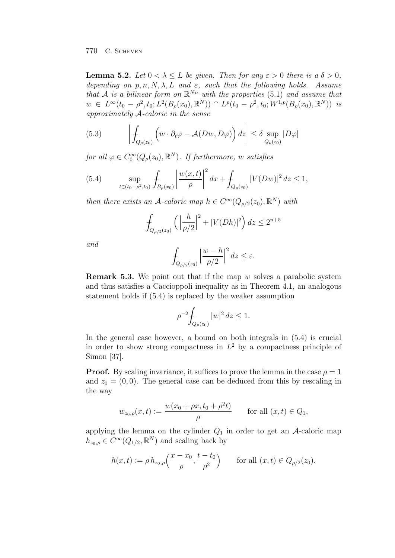**Lemma 5.2.** Let  $0 < \lambda < L$  be given. Then for any  $\varepsilon > 0$  there is a  $\delta > 0$ , depending on p, n, N,  $\lambda$ , L and  $\varepsilon$ , such that the following holds. Assume that A is a bilinear form on  $\mathbb{R}^{Nn}$  with the properties (5.1) and assume that  $w \in L^{\infty}(t_0 - \rho^2, t_0; L^2(B_{\rho}(x_0), \mathbb{R}^N)) \cap L^p(t_0 - \rho^2, t_0; W^{1,p}(B_{\rho}(x_0), \mathbb{R}^N))$  is approximately A-caloric in the sense

(5.3) 
$$
\left| \int_{Q_{\rho}(z_0)} \left( w \cdot \partial_t \varphi - \mathcal{A}(Dw, D\varphi) \right) dz \right| \leq \delta \sup_{Q_{\rho}(z_0)} |D\varphi|
$$

for all  $\varphi \in C_0^{\infty}(Q_{\rho}(z_0), \mathbb{R}^N)$ . If furthermore, w satisfies

(5.4) 
$$
\sup_{t \in (t_0 - \rho^2, t_0)} \int_{B_{\rho}(x_0)} \left| \frac{w(x, t)}{\rho} \right|^2 dx + \int_{Q_{\rho}(z_0)} |V(Dw)|^2 dz \le 1,
$$

then there exists an A-caloric map  $h \in C^{\infty}(Q_{\rho/2}(z_0), \mathbb{R}^N)$  with

$$
\int_{Q_{\rho/2}(z_0)} \left( \left| \frac{h}{\rho/2} \right|^2 + |V(Dh)|^2 \right) dz \le 2^{n+5}
$$

and

$$
\int_{Q_{\rho/2}(z_0)}\Big|\frac{w-h}{\rho/2}\Big|^2\,dz\leq \varepsilon.
$$

**Remark 5.3.** We point out that if the map  $w$  solves a parabolic system and thus satisfies a Caccioppoli inequality as in Theorem 4.1, an analogous statement holds if (5.4) is replaced by the weaker assumption

$$
\rho^{-2} \int_{Q_{\rho}(z_0)} |w|^2 \, dz \le 1.
$$

In the general case however, a bound on both integrals in (5.4) is crucial in order to show strong compactness in  $L^2$  by a compactness principle of Simon [37].

**Proof.** By scaling invariance, it suffices to prove the lemma in the case  $\rho = 1$ and  $z_0 = (0, 0)$ . The general case can be deduced from this by rescaling in the way

$$
w_{z_0,\rho}(x,t) := \frac{w(x_0 + \rho x, t_0 + \rho^2 t)}{\rho}
$$
 for all  $(x,t) \in Q_1$ ,

applying the lemma on the cylinder  $Q_1$  in order to get an A-caloric map  $h_{z_0,\rho} \in C^{\infty}(Q_{1/2}, \mathbb{R}^{N})$  and scaling back by

$$
h(x,t) := \rho \, h_{z_0,\rho}\left(\frac{x - x_0}{\rho}, \frac{t - t_0}{\rho^2}\right) \qquad \text{for all } (x,t) \in Q_{\rho/2}(z_0).
$$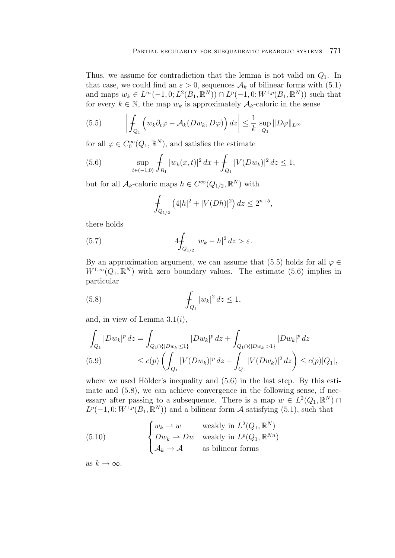Thus, we assume for contradiction that the lemma is not valid on  $Q_1$ . In that case, we could find an  $\varepsilon > 0$ , sequences  $\mathcal{A}_k$  of bilinear forms with (5.1) and maps  $w_k \in L^{\infty}(-1, 0; L^2(B_1, \mathbb{R}^N)) \cap L^p(-1, 0; W^{1,p}(B_1, \mathbb{R}^N))$  such that for every  $k \in \mathbb{N}$ , the map  $w_k$  is approximately  $\mathcal{A}_k$ -caloric in the sense

(5.5) 
$$
\left| \int_{Q_1} \left( w_k \partial_t \varphi - \mathcal{A}_k(Dw_k, D\varphi) \right) dz \right| \leq \frac{1}{k} \sup_{Q_1} ||D\varphi||_{L^{\infty}}
$$

for all  $\varphi \in C_0^{\infty}(Q_1,\mathbb{R}^N)$ , and satisfies the estimate

(5.6) 
$$
\sup_{t \in (-1,0)} \int_{B_1} |w_k(x,t)|^2 dx + \int_{Q_1} |V(Dw_k)|^2 dz \le 1,
$$

but for all  $\mathcal{A}_k$ -caloric maps  $h \in C^{\infty}(Q_{1/2}, \mathbb{R}^N)$  with

$$
\int_{Q_{1/2}} \left( 4|h|^2 + |V(Dh)|^2 \right) dz \le 2^{n+5},
$$

there holds

(5.7) 
$$
4 \int_{Q_{1/2}} |w_k - h|^2 dz > \varepsilon.
$$

By an approximation argument, we can assume that (5.5) holds for all  $\varphi \in$  $W^{1,\infty}(Q_1,\mathbb{R}^N)$  with zero boundary values. The estimate (5.6) implies in particular

(5.8) 
$$
\int_{Q_1} |w_k|^2 dz \le 1,
$$

and, in view of Lemma  $3.1(i)$ ,

$$
\int_{Q_1} |Dw_k|^p dz = \int_{Q_1 \cap \{|Dw_k| \le 1\}} |Dw_k|^p dz + \int_{Q_1 \cap \{|Dw_k| > 1\}} |Dw_k|^p dz
$$
\n(5.9) 
$$
\le c(p) \left( \int_{Q_1} |V(Dw_k)|^p dz + \int_{Q_1} |V(Dw_k)|^2 dz \right) \le c(p)|Q_1|,
$$

where we used Hölder's inequality and  $(5.6)$  in the last step. By this estimate and  $(5.8)$ , we can achieve convergence in the following sense, if necessary after passing to a subsequence. There is a map  $w \in L^2(Q_1, \mathbb{R}^N) \cap$  $L^p(-1,0;W^{1,p}(B_1,\mathbb{R}^N))$  and a bilinear form A satisfying (5.1), such that

(5.10) 
$$
\begin{cases} w_k \rightharpoonup w & \text{weakly in } L^2(Q_1, \mathbb{R}^N) \\ Dw_k \rightharpoonup Dw & \text{weakly in } L^p(Q_1, \mathbb{R}^{Nn}) \\ \mathcal{A}_k \rightharpoonup \mathcal{A} & \text{as bilinear forms} \end{cases}
$$

as  $k \to \infty$ .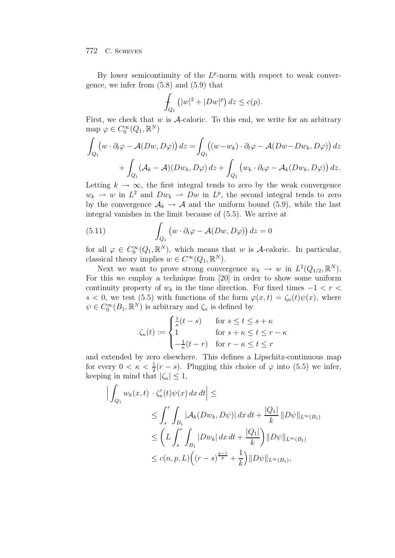By lower semicontinuity of the  $L^p$ -norm with respect to weak convergence, we infer from (5.8) and (5.9) that

$$
\int_{Q_1} (|w|^2 + |Dw|^p) dz \le c(p).
$$

First, we check that  $w$  is  $A$ -caloric. To this end, we write for an arbitrary map  $\varphi \in C_0^{\infty}(Q_1,\mathbb{R}^N)$ 

$$
\int_{Q_1} \left( w \cdot \partial_t \varphi - \mathcal{A}(Dw, D\varphi) \right) dz = \int_{Q_1} \left( \left( w - w_k \right) \cdot \partial_t \varphi - \mathcal{A}(Dw - Dw_k, D\varphi) \right) dz \n+ \int_{Q_1} \left( \mathcal{A}_k - \mathcal{A} \right) \left( Dw_k, D\varphi \right) dz + \int_{Q_1} \left( w_k \cdot \partial_t \varphi - \mathcal{A}_k(Dw_k, D\varphi) \right) dz.
$$

Letting  $k \to \infty$ , the first integral tends to zero by the weak convergence  $w_k \rightharpoonup w$  in  $L^2$  and  $Dw_k \rightharpoonup Dw$  in  $L^p$ , the second integral tends to zero by the convergence  $A_k \rightarrow A$  and the uniform bound (5.9), while the last integral vanishes in the limit because of (5.5). We arrive at

(5.11) 
$$
\int_{Q_1} \left( w \cdot \partial_t \varphi - \mathcal{A}(Dw, D\varphi) \right) dz = 0
$$

for all  $\varphi \in C_0^{\infty}(Q_1,\mathbb{R}^N)$ , which means that w is A-caloric. In particular, classical theory implies  $w \in C^{\infty}(Q_1, \mathbb{R}^N)$ .

Next we want to prove strong convergence  $w_k \to w$  in  $L^2(Q_{1/2}, \mathbb{R}^N)$ . For this we employ a technique from [20] in order to show some uniform continuity property of  $w_k$  in the time direction. For fixed times  $-1 < r <$ s < 0, we test (5.5) with functions of the form  $\varphi(x,t) = \zeta_{\kappa}(t)\psi(x)$ , where  $\psi \in C_0^{\infty}(B_1,\mathbb{R}^N)$  is arbitrary and  $\zeta_{\kappa}$  is defined by

$$
\zeta_{\kappa}(t) := \begin{cases}\n\frac{1}{\kappa}(t-s) & \text{for } s \le t \le s + \kappa \\
1 & \text{for } s + \kappa \le t \le r - \kappa \\
-\frac{1}{\kappa}(t-r) & \text{for } r - \kappa \le t \le r\n\end{cases}
$$

and extended by zero elsewhere. This defines a Lipschitz-continuous map for every  $0 < \kappa < \frac{1}{2}(r - s)$ . Plugging this choice of  $\varphi$  into (5.5) we infer, keeping in mind that  $|\zeta_{\kappa}| \leq 1$ ,

$$
\left| \int_{Q_1} w_k(x, t) \cdot \zeta_{\kappa}'(t) \psi(x) dx dt \right| \le
$$
  
\n
$$
\leq \int_s^r \int_{B_1} |\mathcal{A}_k(Dw_k, D\psi)| dx dt + \frac{|Q_1|}{k} ||D\psi||_{L^{\infty}(B_1)}
$$
  
\n
$$
\leq \left( L \int_s^r \int_{B_1} |Dw_k| dx dt + \frac{|Q_1|}{k} \right) ||D\psi||_{L^{\infty}(B_1)}
$$
  
\n
$$
\leq c(n, p, L) \left( (r - s)^{\frac{p-1}{p}} + \frac{1}{k} \right) ||D\psi||_{L^{\infty}(B_1)},
$$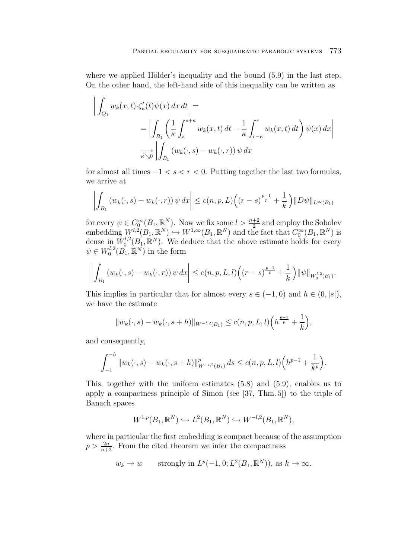where we applied Hölder's inequality and the bound  $(5.9)$  in the last step. On the other hand, the left-hand side of this inequality can be written as

$$
\left| \int_{Q_1} w_k(x, t) \cdot \zeta_{\kappa}'(t) \psi(x) dx dt \right| =
$$
  
= 
$$
\left| \int_{B_1} \left( \frac{1}{\kappa} \int_s^{s+\kappa} w_k(x, t) dt - \frac{1}{\kappa} \int_{r-\kappa}^r w_k(x, t) dt \right) \psi(x) dx \right|
$$
  

$$
\xrightarrow[\kappa \searrow 0]{} \left| \int_{B_1} (w_k(\cdot, s) - w_k(\cdot, r)) \psi dx \right|
$$

for almost all times  $-1 < s < r < 0$ . Putting together the last two formulas, we arrive at

$$
\left| \int_{B_1} \left( w_k(\cdot, s) - w_k(\cdot, r) \right) \psi \, dx \right| \le c(n, p, L) \left( (r - s)^{\frac{p-1}{p}} + \frac{1}{k} \right) \| D\psi \|_{L^{\infty}(B_1)}
$$

for every  $\psi \in C_0^{\infty}(B_1, \mathbb{R}^N)$ . Now we fix some  $l > \frac{n+2}{2}$  and employ the Sobolev embedding  $W^{l,2}(B_1,\mathbb{R}^N) \hookrightarrow W^{1,\infty}(B_1,\mathbb{R}^N)$  and the fact that  $C_0^{\infty}(B_1,\mathbb{R}^N)$  is dense in  $W_0^{l,2}(B_1,\mathbb{R}^N)$ . We deduce that the above estimate holds for every  $\psi \in W_0^{l,2}(B_1,\mathbb{R}^N)$  in the form

$$
\left| \int_{B_1} \left( w_k(\cdot, s) - w_k(\cdot, r) \right) \psi \, dx \right| \le c(n, p, L, l) \left( (r - s)^{\frac{p-1}{p}} + \frac{1}{k} \right) \|\psi\|_{W_0^{l, 2}(B_1)}.
$$

This implies in particular that for almost every  $s \in (-1,0)$  and  $h \in (0,|s|)$ , we have the estimate

$$
||w_k(\cdot,s) - w_k(\cdot,s+h)||_{W^{-l,2}(B_1)} \le c(n,p,L,l) \Big(h^{\frac{p-1}{p}} + \frac{1}{k}\Big),
$$

and consequently,

$$
\int_{-1}^{-h} \|w_k(\cdot,s) - w_k(\cdot,s+h)\|_{W^{-l,2}(B_1)}^p ds \le c(n,p,L,l) \Big(h^{p-1} + \frac{1}{k^p}\Big).
$$

This, together with the uniform estimates (5.8) and (5.9), enables us to apply a compactness principle of Simon (see [37, Thm. 5]) to the triple of Banach spaces

$$
W^{1,p}(B_1,\mathbb{R}^N)\hookrightarrow L^2(B_1,\mathbb{R}^N)\hookrightarrow W^{-l,2}(B_1,\mathbb{R}^N),
$$

where in particular the first embedding is compact because of the assumption  $p > \frac{2n}{n+2}$ . From the cited theorem we infer the compactness

$$
w_k \to w
$$
 strongly in  $L^p(-1,0; L^2(B_1,\mathbb{R}^N))$ , as  $k \to \infty$ .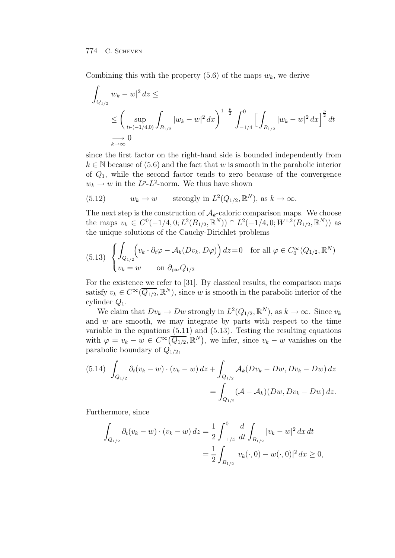Combining this with the property  $(5.6)$  of the maps  $w_k$ , we derive

$$
\int_{Q_{1/2}} |w_k - w|^2 dz \le
$$
\n
$$
\le \left( \sup_{t \in (-1/4, 0)} \int_{B_{1/2}} |w_k - w|^2 dx \right)^{1 - \frac{p}{2}} \int_{-1/4}^0 \left[ \int_{B_{1/2}} |w_k - w|^2 dx \right]^{\frac{p}{2}} dt
$$
\n
$$
\xrightarrow[k \to \infty]{} 0
$$

since the first factor on the right-hand side is bounded independently from  $k \in \mathbb{N}$  because of (5.6) and the fact that w is smooth in the parabolic interior of  $Q_1$ , while the second factor tends to zero because of the convergence  $w_k \to w$  in the  $L^p$ - $L^2$ -norm. We thus have shown

(5.12) 
$$
w_k \to w
$$
 strongly in  $L^2(Q_{1/2}, \mathbb{R}^N)$ , as  $k \to \infty$ .

The next step is the construction of  $A_k$ -caloric comparison maps. We choose the maps  $v_k \in C^0(-1/4, 0; L^2(B_{1/2}, \mathbb{R}^N)) \cap L^2(-1/4, 0; W^{1,2}(B_{1/2}, \mathbb{R}^N))$  as the unique solutions of the Cauchy-Dirichlet problems

(5.13) 
$$
\begin{cases} \int_{Q_{1/2}} \Big( v_k \cdot \partial_t \varphi - A_k(Dv_k, D\varphi) \Big) dz = 0 & \text{for all } \varphi \in C_0^{\infty}(Q_{1/2}, \mathbb{R}^N) \\ v_k = w & \text{on } \partial_{\text{par}} Q_{1/2} \end{cases}
$$

For the existence we refer to [31]. By classical results, the comparison maps satisfy  $v_k \in C^{\infty}(\overline{Q_{1/2}}, \mathbb{R}^N)$ , since w is smooth in the parabolic interior of the cylinder  $Q_1$ .

We claim that  $Dv_k \to Dw$  strongly in  $L^2(Q_{1/2}, \mathbb{R}^N)$ , as  $k \to \infty$ . Since  $v_k$ and  $w$  are smooth, we may integrate by parts with respect to the time variable in the equations (5.11) and (5.13). Testing the resulting equations with  $\varphi = v_k - w \in C^\infty(\overline{Q_{1/2}}, \mathbb{R}^N)$ , we infer, since  $v_k - w$  vanishes on the parabolic boundary of  $Q_{1/2}$ ,

$$
(5.14) \int_{Q_{1/2}} \partial_t (v_k - w) \cdot (v_k - w) \, dz + \int_{Q_{1/2}} \mathcal{A}_k (Dv_k - Dw, Dv_k - Dw) \, dz
$$
  
= 
$$
\int_{Q_{1/2}} (\mathcal{A} - \mathcal{A}_k)(Dw, Dv_k - Dw) \, dz.
$$

Furthermore, since

$$
\int_{Q_{1/2}} \partial_t (v_k - w) \cdot (v_k - w) dz = \frac{1}{2} \int_{-1/4}^0 \frac{d}{dt} \int_{B_{1/2}} |v_k - w|^2 dx dt
$$
  
= 
$$
\frac{1}{2} \int_{B_{1/2}} |v_k(\cdot, 0) - w(\cdot, 0)|^2 dx \ge 0,
$$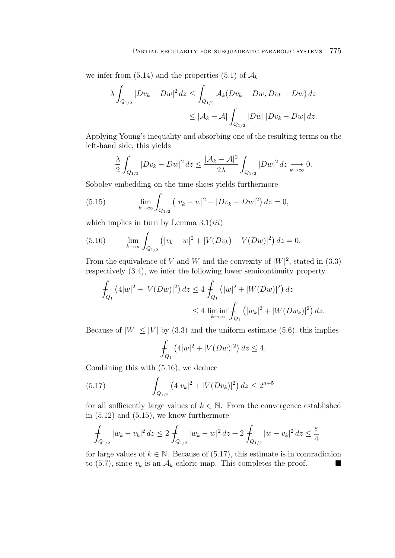we infer from (5.14) and the properties (5.1) of  $\mathcal{A}_k$ 

$$
\lambda \int_{Q_{1/2}} |Dv_k - Dw|^2 dz \le \int_{Q_{1/2}} \mathcal{A}_k (Dv_k - Dw, Dv_k - Dw) dz
$$
  

$$
\le |\mathcal{A}_k - \mathcal{A}| \int_{Q_{1/2}} |Dw| |Dv_k - Dw| dz.
$$

Applying Young's inequality and absorbing one of the resulting terms on the left-hand side, this yields

$$
\frac{\lambda}{2} \int_{Q_{1/2}} |Dv_k - Dw|^2 dz \le \frac{|\mathcal{A}_k - \mathcal{A}|^2}{2\lambda} \int_{Q_{1/2}} |Dw|^2 dz \xrightarrow[k \to \infty]{} 0.
$$

Sobolev embedding on the time slices yields furthermore

(5.15) 
$$
\lim_{k \to \infty} \int_{Q_{1/2}} (|v_k - w|^2 + |Dv_k - Dw|^2) dz = 0,
$$

which implies in turn by Lemma  $3.1(iii)$ 

(5.16) 
$$
\lim_{k \to \infty} \int_{Q_{1/2}} \left( |v_k - w|^2 + |V(Dv_k) - V(Dw)|^2 \right) dz = 0.
$$

From the equivalence of V and W and the convexity of  $|W|^2$ , stated in (3.3) respectively (3.4), we infer the following lower semicontinuity property.

$$
\int_{Q_1} (4|w|^2 + |V(Dw)|^2) dz \le 4 \int_{Q_1} (|w|^2 + |W(Dw)|^2) dz
$$
  

$$
\le 4 \liminf_{k \to \infty} \int_{Q_1} (|w_k|^2 + |W(Dw_k)|^2) dz.
$$

Because of  $|W| \leq |V|$  by (3.3) and the uniform estimate (5.6), this implies

$$
\int_{Q_1} (4|w|^2 + |V(Dw)|^2) dz \le 4.
$$

Combining this with (5.16), we deduce

(5.17) 
$$
\int_{Q_{1/2}} (4|v_k|^2 + |V(Dv_k)|^2) dz \le 2^{n+5}
$$

for all sufficiently large values of  $k \in \mathbb{N}$ . From the convergence established in (5.12) and (5.15), we know furthermore

$$
\int_{Q_{1/2}} |w_k - v_k|^2 dz \le 2 \int_{Q_{1/2}} |w_k - w|^2 dz + 2 \int_{Q_{1/2}} |w - v_k|^2 dz \le \frac{\varepsilon}{4}
$$

for large values of  $k \in \mathbb{N}$ . Because of (5.17), this estimate is in contradiction to (5.7), since  $v_k$  is an  $\mathcal{A}_k$ -caloric map. This completes the proof.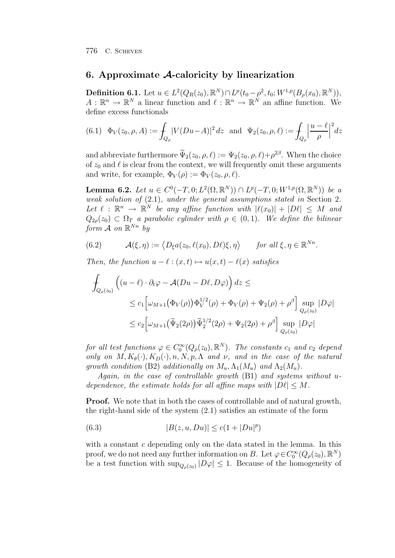# **6. Approximate** *A***-caloricity by linearization**

**Definition 6.1.** Let  $u \in L^2(Q_R(z_0), \mathbb{R}^N) \cap L^p(t_0 - \rho^2, t_0; W^{1,p}(B_\rho(x_0), \mathbb{R}^N)),$  $A: \mathbb{R}^n \to \mathbb{R}^N$  a linear function and  $\ell: \mathbb{R}^n \to \mathbb{R}^N$  an affine function. We define excess functionals

$$
(6.1) \quad \Phi_V(z_0, \rho, A) := \int_{Q_\rho} |V(Du - A)|^2 \, dz \quad \text{and} \quad \Psi_2(z_0, \rho, \ell) := \int_{Q_\rho} \left| \frac{u - \ell}{\rho} \right|^2 \, dz
$$

and abbreviate furthermore  $\widetilde{\Psi}_2(z_0, \rho, \ell) := \Psi_2(z_0, \rho, \ell) + \rho^{2\beta}$ . When the choice of  $z_0$  and  $\ell$  is clear from the context, we will frequently omit these arguments and write, for example,  $\Phi_V(\rho) := \Phi_V(z_0, \rho, \ell)$ .

**Lemma 6.2.** Let  $u \in C^0(-T, 0; L^2(\Omega, \mathbb{R}^N)) \cap L^p(-T, 0; W^{1,p}(\Omega, \mathbb{R}^N))$  be a weak solution of (2.1), under the general assumptions stated in Section 2. Let  $\ell : \mathbb{R}^n \to \mathbb{R}^N$  be any affine function with  $|\ell(x_0)| + |D\ell| \leq M$  and  $Q_{2\rho}(z_0) \subset \Omega_T$  a parabolic cylinder with  $\rho \in (0,1)$ . We define the bilinear form  $\mathcal A$  on  $\mathbb R^{Nn}$  by

(6.2) 
$$
\mathcal{A}(\xi,\eta) := \langle D_{\xi}a(z_0,\ell(x_0),D\ell)\xi,\eta\rangle \quad \text{for all } \xi,\eta \in \mathbb{R}^{Nn}.
$$

Then, the function  $u - \ell : (x, t) \mapsto u(x, t) - \ell(x)$  satisfies

$$
\int_{Q_{\rho}(z_0)} \left( (u - \ell) \cdot \partial_t \varphi - \mathcal{A}(Du - D\ell, D\varphi) \right) dz \le
$$
\n
$$
\leq c_1 \left[ \omega_{M+1} \left( \Phi_V(\rho) \right) \Phi_V^{1/2}(\rho) + \Phi_V(\rho) + \Psi_2(\rho) + \rho^{\beta} \right] \sup_{Q_{\rho}(z_0)} |D\varphi|
$$
\n
$$
\leq c_2 \left[ \omega_{M+1} \left( \widetilde{\Psi}_2(2\rho) \right) \widetilde{\Psi}_2^{1/2}(2\rho) + \Psi_2(2\rho) + \rho^{\beta} \right] \sup_{Q_{\rho}(z_0)} |D\varphi|
$$

for all test functions  $\varphi \in C_0^{\infty}(Q_{\rho}(z_0), \mathbb{R}^N)$ . The constants  $c_1$  and  $c_2$  depend only on  $M, K_{\theta}(\cdot), K_D(\cdot), n, N, p, \Lambda$  and  $\nu$ , and in the case of the natural growth condition (B2) additionally on  $M_u$ ,  $\Lambda_1(M_u)$  and  $\Lambda_2(M_u)$ .

Again, in the case of controllable growth (B1) and systems without udependence, the estimate holds for all affine maps with  $|D\ell| \leq M$ .

**Proof.** We note that in both the cases of controllable and of natural growth, the right-hand side of the system (2.1) satisfies an estimate of the form

(6.3) 
$$
|B(z, u, Du)| \le c(1 + |Du|^p)
$$

with a constant  $c$  depending only on the data stated in the lemma. In this proof, we do not need any further information on B. Let  $\varphi \in C_0^{\infty}(Q_{\rho}(z_0), \mathbb{R}^N)$ be a test function with  $\sup_{Q_o(z_0)} |D\varphi| \leq 1$ . Because of the homogeneity of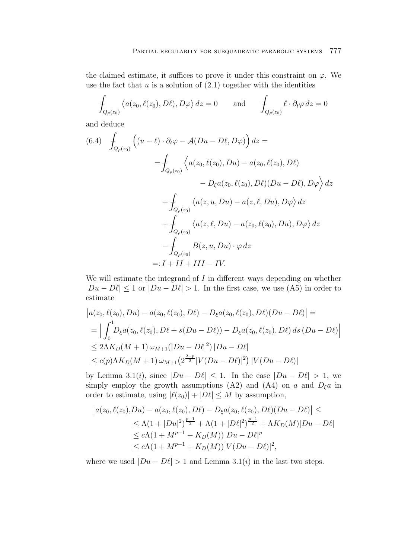the claimed estimate, it suffices to prove it under this constraint on  $\varphi$ . We use the fact that  $u$  is a solution of  $(2.1)$  together with the identities

$$
\int_{Q_{\rho}(z_0)} \langle a(z_0, \ell(z_0), D\ell), D\varphi \rangle dz = 0 \quad \text{and} \quad \int_{Q_{\rho}(z_0)} \ell \cdot \partial_t \varphi dz = 0
$$

and deduce

$$
(6.4) \quad \int_{Q_{\rho}(z_0)} \left( (u - \ell) \cdot \partial_t \varphi - \mathcal{A}(Du - D\ell, D\varphi) \right) dz =
$$
\n
$$
= \int_{Q_{\rho}(z_0)} \left\langle a(z_0, \ell(z_0), Du) - a(z_0, \ell(z_0), D\ell) - D_{\xi} a(z_0, \ell(z_0), D\ell)(Du - D\ell), D\varphi \right\rangle dz
$$
\n
$$
+ \int_{Q_{\rho}(z_0)} \left\langle a(z, u, Du) - a(z, \ell, Du), D\varphi \right\rangle dz
$$
\n
$$
+ \int_{Q_{\rho}(z_0)} \left\langle a(z, \ell, Du) - a(z_0, \ell(z_0), Du), D\varphi \right\rangle dz
$$
\n
$$
- \int_{Q_{\rho}(z_0)} B(z, u, Du) \cdot \varphi dz
$$
\n
$$
=: I + II + III - IV.
$$

We will estimate the integrand of  $I$  in different ways depending on whether  $|Du - D\ell| \leq 1$  or  $|Du - D\ell| > 1$ . In the first case, we use (A5) in order to estimate

$$
\begin{aligned} \left| a(z_0, \ell(z_0), Du) - a(z_0, \ell(z_0), D\ell) - D_{\xi} a(z_0, \ell(z_0), D\ell) (Du - D\ell) \right| &= \\ &= \Big| \int_0^1 \! D_{\xi} a(z_0, \ell(z_0), D\ell + s(Du - D\ell)) - D_{\xi} a(z_0, \ell(z_0), D\ell) \, ds \, (Du - D\ell) \Big| \\ &\leq 2\Lambda K_D(M+1) \, \omega_{M+1} (|Du - D\ell|^2) \, |Du - D\ell| \\ &\leq c(p) \Lambda K_D(M+1) \, \omega_{M+1} \big( 2^{\frac{2-p}{2}} |V(Du - D\ell)|^2 \big) \, |V(Du - D\ell)| \end{aligned}
$$

by Lemma 3.1(i), since  $|Du - D\ell| \leq 1$ . In the case  $|Du - D\ell| > 1$ , we simply employ the growth assumptions (A2) and (A4) on a and  $D_{\xi}a$  in order to estimate, using  $|\ell(z_0)| + |D\ell| \leq M$  by assumption,

$$
|a(z_0, \ell(z_0), Du) - a(z_0, \ell(z_0), D\ell) - D_{\xi}a(z_0, \ell(z_0), D\ell)(Du - D\ell)| \le
$$
  
\n
$$
\le \Lambda(1 + |Du|^2)^{\frac{p-1}{2}} + \Lambda(1 + |D\ell|^2)^{\frac{p-1}{2}} + \Lambda K_D(M)|Du - D\ell|
$$
  
\n
$$
\le c\Lambda(1 + M^{p-1} + K_D(M))|Du - D\ell|^p
$$
  
\n
$$
\le c\Lambda(1 + M^{p-1} + K_D(M))|V(Du - D\ell)|^2,
$$

where we used  $|Du - D\ell| > 1$  and Lemma 3.1(i) in the last two steps.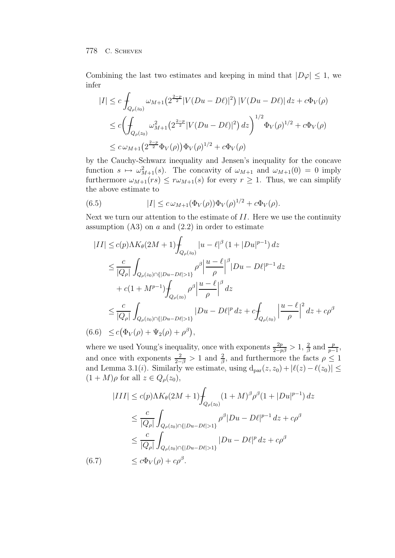Combining the last two estimates and keeping in mind that  $|D\varphi| \leq 1$ , we infer

$$
|I| \leq c \int_{Q_{\rho}(z_0)} \omega_{M+1} \left( 2^{\frac{2-p}{2}} |V(Du - D\ell)|^2 \right) |V(Du - D\ell)| \, dz + c\Phi_V(\rho)
$$
  

$$
\leq c \left( \int_{Q_{\rho}(z_0)} \omega_{M+1}^2 \left( 2^{\frac{2-p}{2}} |V(Du - D\ell)|^2 \right) dz \right)^{1/2} \Phi_V(\rho)^{1/2} + c\Phi_V(\rho)
$$
  

$$
\leq c \omega_{M+1} \left( 2^{\frac{2-p}{2}} \Phi_V(\rho) \right) \Phi_V(\rho)^{1/2} + c\Phi_V(\rho)
$$

by the Cauchy-Schwarz inequality and Jensen's inequality for the concave function  $s \mapsto \omega_{M+1}^2(s)$ . The concavity of  $\omega_{M+1}$  and  $\omega_{M+1}(0) = 0$  imply furthermore  $\omega_{M+1}(rs) \leq r \omega_{M+1}(s)$  for every  $r \geq 1$ . Thus, we can simplify the above estimate to

(6.5) 
$$
|I| \leq c \,\omega_{M+1}(\Phi_V(\rho))\Phi_V(\rho)^{1/2} + c\Phi_V(\rho).
$$

Next we turn our attention to the estimate of  $II$ . Here we use the continuity assumption  $(A3)$  on a and  $(2.2)$  in order to estimate

$$
|II| \le c(p)\Lambda K_{\theta}(2M+1)\int_{Q_{\rho}(z_{0})} |u - \ell|^{\beta} (1+|Du|^{p-1}) dz
$$
  
\n
$$
\le \frac{c}{|Q_{\rho}|}\int_{Q_{\rho}(z_{0})\cap\{|Du - D\ell|>1\}}\rho^{\beta} \frac{|u - \ell|^{\beta}}{\rho} |Du - D\ell|^{p-1} dz
$$
  
\n
$$
+ c(1+M^{p-1})\int_{Q_{\rho}(z_{0})}\rho^{\beta} \frac{|u - \ell|^{\beta}}{\rho} dz
$$
  
\n
$$
\le \frac{c}{|Q_{\rho}|}\int_{Q_{\rho}(z_{0})\cap\{|Du - D\ell|>1\}}|Du - D\ell|^{p} dz + c\int_{Q_{\rho}(z_{0})}\left|\frac{u - \ell}{\rho}\right|^{2} dz + c\rho^{\beta}
$$
  
\n(6.6)  $\le c(\Phi_{V}(\rho) + \Psi_{2}(\rho) + \rho^{\beta}),$ 

where we used Young's inequality, once with exponents  $\frac{2p}{2-p\beta} > 1$ ,  $\frac{2}{\beta}$  and  $\frac{p}{p-1}$ , and once with exponents  $\frac{2}{2-\beta} > 1$  and  $\frac{2}{\beta}$ , and furthermore the facts  $\rho \leq 1$ and Lemma 3.1(*i*). Similarly we estimate, using  $d_{par}(z, z_0) + |\ell(z) - \ell(z_0)| \le$  $(1 + M)\rho$  for all  $z \in Q_{\rho}(z_0)$ ,

$$
|III| \le c(p)\Lambda K_{\theta}(2M+1)\int_{Q_{\rho}(z_0)} (1+M)^{\beta} \rho^{\beta}(1+|Du|^{p-1}) dz
$$
  
\n
$$
\le \frac{c}{|Q_{\rho}|} \int_{Q_{\rho}(z_0)\cap\{|Du-D\ell|>1\}} \rho^{\beta}|Du-D\ell|^{p-1} dz + c\rho^{\beta}
$$
  
\n
$$
\le \frac{c}{|Q_{\rho}|} \int_{Q_{\rho}(z_0)\cap\{|Du-D\ell|>1\}} |Du-D\ell|^{p} dz + c\rho^{\beta}
$$
  
\n(6.7) 
$$
\le c\Phi_{V}(\rho) + c\rho^{\beta}.
$$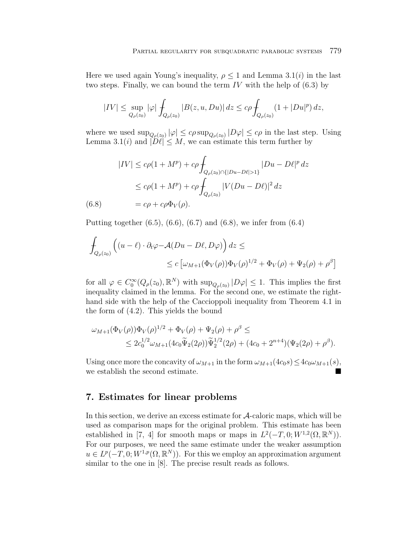Here we used again Young's inequality,  $\rho \leq 1$  and Lemma 3.1(*i*) in the last two steps. Finally, we can bound the term  $IV$  with the help of  $(6.3)$  by

$$
|IV| \leq \sup_{Q_{\rho}(z_0)} |\varphi| \int_{Q_{\rho}(z_0)} |B(z, u, Du)| dz \leq c\rho \int_{Q_{\rho}(z_0)} (1 + |Du|^p) dz,
$$

where we used  $\sup_{Q_{\rho}(z_0)} |\varphi| \leq c\rho \sup_{Q_{\rho}(z_0)} |D\varphi| \leq c\rho$  in the last step. Using Lemma 3.1(*i*) and  $|\widetilde{D\ell}| \leq M$ , we can estimate this term further by

$$
|IV| \le c\rho(1+M^p) + c\rho \int_{Q_\rho(z_0) \cap \{|Du - D\ell| > 1\}} |Du - D\ell|^p dz
$$
  
 
$$
\le c\rho(1+M^p) + c\rho \int_{Q_\rho(z_0)} |V(Du - D\ell)|^2 dz
$$
  
(6.8) 
$$
= c\rho + c\rho \Phi_V(\rho).
$$

Putting together  $(6.5)$ ,  $(6.6)$ ,  $(6.7)$  and  $(6.8)$ , we infer from  $(6.4)$ 

$$
\int_{Q_{\rho}(z_0)} \left( (u - \ell) \cdot \partial_t \varphi - \mathcal{A}(Du - D\ell, D\varphi) \right) dz \le
$$
\n
$$
\le c \left[ \omega_{M+1}(\Phi_V(\rho)) \Phi_V(\rho)^{1/2} + \Phi_V(\rho) + \Psi_2(\rho) + \rho^{\beta} \right]
$$

for all  $\varphi \in C_0^{\infty}(Q_{\rho}(z_0), \mathbb{R}^N)$  with  $\sup_{Q_{\rho}(z_0)} |D\varphi| \leq 1$ . This implies the first inequality claimed in the lemma. For the second one, we estimate the righthand side with the help of the Caccioppoli inequality from Theorem 4.1 in the form of (4.2). This yields the bound

$$
\omega_{M+1}(\Phi_V(\rho))\Phi_V(\rho)^{1/2} + \Phi_V(\rho) + \Psi_2(\rho) + \rho^{\beta} \le
$$
  

$$
\leq 2c_0^{1/2}\omega_{M+1}(4c_0\widetilde{\Psi}_2(2\rho))\widetilde{\Psi}_2^{1/2}(2\rho) + (4c_0 + 2^{n+4})(\Psi_2(2\rho) + \rho^{\beta}).
$$

Using once more the concavity of  $\omega_{M+1}$  in the form  $\omega_{M+1}(4c_0s) \leq 4c_0\omega_{M+1}(s)$ , we establish the second estimate.

# **7. Estimates for linear problems**

In this section, we derive an excess estimate for A-caloric maps, which will be used as comparison maps for the original problem. This estimate has been established in [7, 4] for smooth maps or maps in  $L^2(-T, 0; W^{1,2}(\Omega, \mathbb{R}^N))$ . For our purposes, we need the same estimate under the weaker assumption  $u \in L^p(-T, 0; W^{1,p}(\Omega, \mathbb{R}^N))$ . For this we employ an approximation argument similar to the one in [8]. The precise result reads as follows.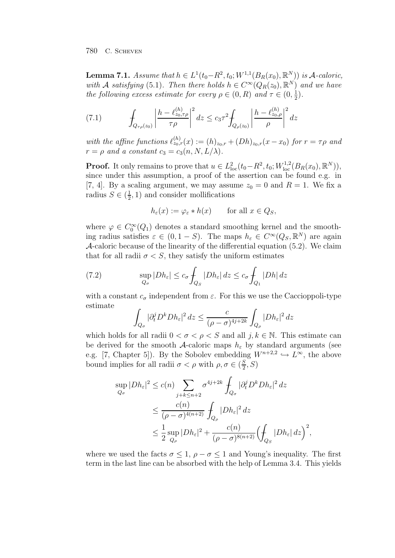**Lemma 7.1.** Assume that  $h \in L^1(t_0 - R^2, t_0; W^{1,1}(B_R(x_0), \mathbb{R}^N))$  is A-caloric, with A satisfying (5.1). Then there holds  $h \in C^{\infty}(Q_R(z_0), \mathbb{R}^N)$  and we have the following excess estimate for every  $\rho \in (0, R)$  and  $\tau \in (0, \frac{1}{2})$ .

(7.1) 
$$
\int_{Q_{\tau\rho}(z_0)} \left| \frac{h - \ell_{z_0,\tau\rho}^{(h)}}{\tau \rho} \right|^2 dz \le c_3 \tau^2 \int_{Q_{\rho}(z_0)} \left| \frac{h - \ell_{z_0,\rho}^{(h)}}{\rho} \right|^2 dz
$$

with the affine functions  $\ell_{z_0,r}^{(h)}(x) := (h)_{z_0,r} + (Dh)_{z_0,r}(x-x_0)$  for  $r = \tau \rho$  and  $r = \rho$  and a constant  $c_3 = c_3(n, N, L/\lambda)$ .

**Proof.** It only remains to prove that  $u \in L^2_{loc}(t_0 - R^2, t_0; W^{1,2}_{loc}(B_R(x_0), \mathbb{R}^N)),$ since under this assumption, a proof of the assertion can be found e.g. in [7, 4]. By a scaling argument, we may assume  $z_0 = 0$  and  $R = 1$ . We fix a radius  $S \in (\frac{1}{2}, 1)$  and consider mollifications

$$
h_{\varepsilon}(x) := \varphi_{\varepsilon} * h(x) \qquad \text{for all } x \in Q_S,
$$

where  $\varphi \in C_0^{\infty}(Q_1)$  denotes a standard smoothing kernel and the smoothing radius satisfies  $\varepsilon \in (0, 1 - S)$ . The maps  $h_{\varepsilon} \in C^{\infty}(Q_S, \mathbb{R}^N)$  are again A-caloric because of the linearity of the differential equation (5.2). We claim that for all radii  $\sigma < S$ , they satisfy the uniform estimates

(7.2) 
$$
\sup_{Q_{\sigma}} |Dh_{\varepsilon}| \leq c_{\sigma} \int_{Q_{S}} |Dh_{\varepsilon}| dz \leq c_{\sigma} \int_{Q_{1}} |Dh| dz
$$

with a constant  $c_{\sigma}$  independent from  $\varepsilon$ . For this we use the Caccioppoli-type estimate

$$
\int_{Q_{\sigma}} |\partial_t^j D^k Dh_{\varepsilon}|^2 dz \le \frac{c}{(\rho - \sigma)^{4j + 2k}} \int_{Q_{\rho}} |Dh_{\varepsilon}|^2 dz
$$

which holds for all radii  $0 < \sigma < \rho < S$  and all  $j, k \in \mathbb{N}$ . This estimate can be derived for the smooth A-caloric maps  $h_{\varepsilon}$  by standard arguments (see e.g. [7, Chapter 5]). By the Sobolev embedding  $W^{n+2,2} \hookrightarrow L^{\infty}$ , the above bound implies for all radii  $\sigma < \rho$  with  $\rho, \sigma \in (\frac{S}{2}, S)$ 

$$
\sup_{Q_{\sigma}} |Dh_{\varepsilon}|^{2} \leq c(n) \sum_{j+k \leq n+2} \sigma^{4j+2k} \int_{Q_{\sigma}} |\partial_{t}^{j} D^{k} Dh_{\varepsilon}|^{2} dz
$$
  

$$
\leq \frac{c(n)}{(\rho - \sigma)^{4(n+2)}} \int_{Q_{\rho}} |Dh_{\varepsilon}|^{2} dz
$$
  

$$
\leq \frac{1}{2} \sup_{Q_{\rho}} |Dh_{\varepsilon}|^{2} + \frac{c(n)}{(\rho - \sigma)^{8(n+2)}} \Biggl( \int_{Q_{S}} |Dh_{\varepsilon}| dz \Biggr)^{2},
$$

where we used the facts  $\sigma \leq 1$ ,  $\rho - \sigma \leq 1$  and Young's inequality. The first term in the last line can be absorbed with the help of Lemma 3.4. This yields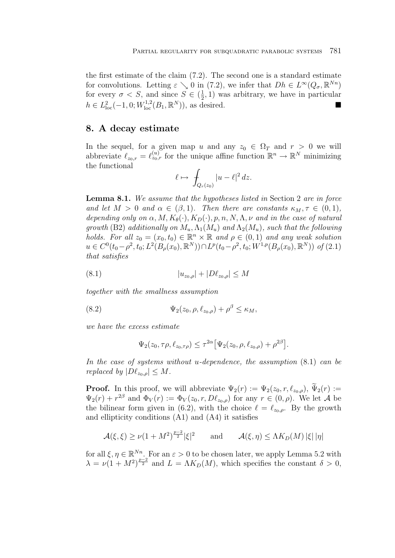the first estimate of the claim (7.2). The second one is a standard estimate for convolutions. Letting  $\varepsilon \searrow 0$  in (7.2), we infer that  $Dh \in L^{\infty}(Q_{\sigma}, \mathbb{R}^{Nn})$ for every  $\sigma < S$ , and since  $S \in (\frac{1}{2}, 1)$  was arbitrary, we have in particular  $h \in L^2_{loc}(-1, 0; W^{1,2}_{loc}(B_1, \mathbb{R}^N))$ , as desired.

## **8. A decay estimate**

In the sequel, for a given map u and any  $z_0 \in \Omega_T$  and  $r > 0$  we will abbreviate  $\ell_{z_0,r} = \ell_{z_0,r}^{(u)}$  for the unique affine function  $\mathbb{R}^n \to \mathbb{R}^N$  minimizing the functional

$$
\ell \mapsto \int_{Q_r(z_0)} |u - \ell|^2 \, dz.
$$

**Lemma 8.1.** We assume that the hypotheses listed in Section 2 are in force and let  $M > 0$  and  $\alpha \in (\beta, 1)$ . Then there are constants  $\kappa_M, \tau \in (0, 1)$ , depending only on  $\alpha$ ,  $M$ ,  $K_{\theta}(\cdot)$ ,  $K_D(\cdot)$ ,  $p$ ,  $n$ ,  $N$ ,  $\Lambda$ ,  $\nu$  and in the case of natural growth (B2) additionally on  $M_u$ ,  $\Lambda_1(M_u)$  and  $\Lambda_2(M_u)$ , such that the following holds. For all  $z_0 = (x_0, t_0) \in \mathbb{R}^n \times \mathbb{R}$  and  $\rho \in (0, 1)$  and any weak solution  $u \in C^{0}(t_{0}-\rho^{2},t_{0};L^{2}(B_{\rho}(x_{0}),\mathbb{R}^{N})) \cap L^{p}(t_{0}-\rho^{2},t_{0};W^{1,p}(B_{\rho}(x_{0}),\mathbb{R}^{N}))$  of (2.1) that satisfies

(8.1) 
$$
|u_{z_0,\rho}| + |D\ell_{z_0,\rho}| \le M
$$

together with the smallness assumption

(8.2) 
$$
\Psi_2(z_0,\rho,\ell_{z_0,\rho})+\rho^{\beta}\leq \kappa_M,
$$

we have the excess estimate

$$
\Psi_2(z_0, \tau \rho, \ell_{z_0, \tau \rho}) \leq \tau^{2\alpha} \big[ \Psi_2(z_0, \rho, \ell_{z_0, \rho}) + \rho^{2\beta} \big].
$$

In the case of systems without u-dependence, the assumption (8.1) can be replaced by  $|D\ell_{z_0,\rho}| \leq M$ .

**Proof.** In this proof, we will abbreviate  $\Psi_2(r) := \Psi_2(z_0, r, \ell_{z_0, \rho}), \widetilde{\Psi}_2(r) :=$  $\Psi_2(r) + r^{2\beta}$  and  $\Phi_V(r) := \Phi_V(z_0, r, D\ell_{z_0,\rho})$  for any  $r \in (0,\rho)$ . We let A be the bilinear form given in (6.2), with the choice  $\ell = \ell_{z_0,\rho}$ . By the growth and ellipticity conditions (A1) and (A4) it satisfies

$$
\mathcal{A}(\xi,\xi) \ge \nu(1+M^2)^{\frac{p-2}{2}}|\xi|^2 \quad \text{and} \quad \mathcal{A}(\xi,\eta) \le \Lambda K_D(M) |\xi| |\eta|
$$

for all  $\xi, \eta \in \mathbb{R}^{N_n}$ . For an  $\varepsilon > 0$  to be chosen later, we apply Lemma 5.2 with  $\lambda = \nu(1 + M^2)^{\frac{p-2}{2}}$  and  $L = \Lambda K_D(M)$ , which specifies the constant  $\delta > 0$ ,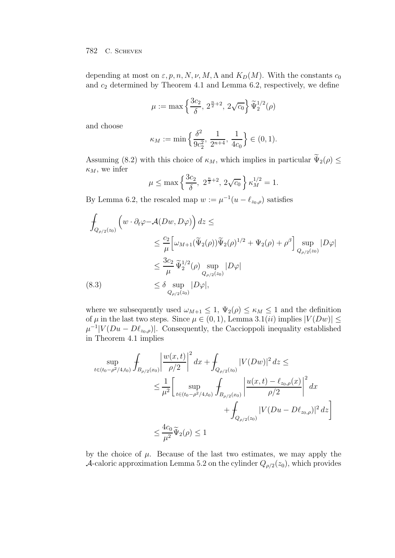depending at most on  $\varepsilon$ , p, n, N, v, M,  $\Lambda$  and  $K_D(M)$ . With the constants  $c_0$ and  $c_2$  determined by Theorem 4.1 and Lemma 6.2, respectively, we define

$$
\mu := \max \left\{ \frac{3c_2}{\delta}, 2^{\frac{n}{2}+2}, 2\sqrt{c_0} \right\} \widetilde{\Psi}_2^{1/2}(\rho)
$$

and choose

$$
\kappa_M:=\min\Big\{\frac{\delta^2}{9c_2^2},\,\frac{1}{2^{n+4}},\,\frac{1}{4c_0}\Big\}\in(0,1).
$$

Assuming (8.2) with this choice of  $\kappa_M$ , which implies in particular  $\widetilde\Psi_2(\rho) \leq$  $\kappa_M$ , we infer

$$
\mu \le \max \left\{ \frac{3c_2}{\delta}, \ 2^{\frac{n}{2}+2}, \ 2\sqrt{c_0} \right\} \kappa_M^{1/2} = 1.
$$

By Lemma 6.2, the rescaled map  $w := \mu^{-1}(u - \ell_{z_0,\rho})$  satisfies

$$
\int_{Q_{\rho/2}(z_0)} \left( w \cdot \partial_t \varphi - \mathcal{A}(Dw, D\varphi) \right) dz \le
$$
\n
$$
\leq \frac{c_2}{\mu} \left[ \omega_{M+1}(\widetilde{\Psi}_2(\rho)) \widetilde{\Psi}_2(\rho)^{1/2} + \Psi_2(\rho) + \rho^{\beta} \right] \sup_{Q_{\rho/2}(z_0)} |D\varphi|
$$
\n
$$
\leq \frac{3c_2}{\mu} \widetilde{\Psi}_2^{1/2}(\rho) \sup_{Q_{\rho/2}(z_0)} |D\varphi|
$$
\n(8.3)\n
$$
\leq \delta \sup_{Q_{\rho/2}(z_0)} |D\varphi|,
$$

where we subsequently used  $\omega_{M+1} \leq 1$ ,  $\Psi_2(\rho) \leq \kappa_M \leq 1$  and the definition of  $\mu$  in the last two steps. Since  $\mu \in (0, 1)$ , Lemma 3.1(*ii*) implies  $|V(Dw)| \le$  $\mu^{-1}|V(Du-D\ell_{z_0,\rho})|$ . Consequently, the Caccioppoli inequality established in Theorem 4.1 implies

$$
\sup_{t \in (t_0 - \rho^2/4, t_0)} \int_{B_{\rho/2}(x_0)} \left| \frac{w(x, t)}{\rho/2} \right|^2 dx + \int_{Q_{\rho/2}(z_0)} |V(Dw)|^2 dz \le
$$
\n
$$
\leq \frac{1}{\mu^2} \left[ \sup_{t \in (t_0 - \rho^2/4, t_0)} \int_{B_{\rho/2}(x_0)} \left| \frac{u(x, t) - \ell_{z_0, \rho}(x)}{\rho/2} \right|^2 dx + \int_{Q_{\rho/2}(z_0)} |V(Du - D\ell_{z_0, \rho})|^2 dz \right]
$$
\n
$$
\leq \frac{4c_0}{\mu^2} \tilde{\Psi}_2(\rho) \leq 1
$$

by the choice of  $\mu$ . Because of the last two estimates, we may apply the A-caloric approximation Lemma 5.2 on the cylinder  $Q_{\rho/2}(z_0)$ , which provides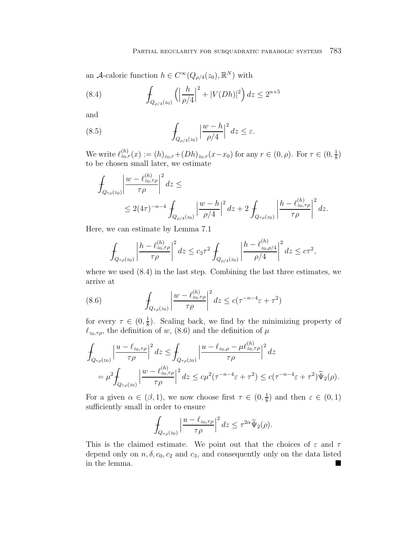an A-caloric function  $h \in C^{\infty}(Q_{\rho/4}(z_0), \mathbb{R}^N)$  with

(8.4) 
$$
\int_{Q_{\rho/4}(z_0)} \left( \left| \frac{h}{\rho/4} \right|^2 + |V(Dh)|^2 \right) dz \le 2^{n+5}
$$

and

(8.5) 
$$
\int_{Q_{\rho/4}(z_0)} \left|\frac{w-h}{\rho/4}\right|^2 dz \leq \varepsilon.
$$

We write  $\ell_{z_0,r}^{(h)}(x) := (h)_{z_0,r} + (Dh)_{z_0,r}(x-x_0)$  for any  $r \in (0,\rho)$ . For  $\tau \in (0,\frac{1}{8})$ to be chosen small later, we estimate

$$
\int_{Q_{\tau\rho}(z_0)} \left| \frac{w - \ell_{z_0, \tau\rho}^{(h)}}{\tau \rho} \right|^2 dz \le
$$
\n
$$
\leq 2(4\tau)^{-n-4} \int_{Q_{\rho/4}(z_0)} \left| \frac{w - h}{\rho/4} \right|^2 dz + 2 \int_{Q_{\tau\rho}(z_0)} \left| \frac{h - \ell_{z_0, \tau\rho}^{(h)}}{\tau \rho} \right|^2 dz.
$$

Here, we can estimate by Lemma 7.1

$$
\int_{Q_{\tau\rho}(z_0)} \left| \frac{h - \ell_{z_0, \tau\rho}^{(h)}}{\tau \rho} \right|^2 dz \le c_3 \tau^2 \int_{Q_{\rho/4}(z_0)} \left| \frac{h - \ell_{z_0, \rho/4}^{(h)}}{\rho/4} \right|^2 dz \le c \tau^2,
$$

where we used (8.4) in the last step. Combining the last three estimates, we arrive at

(8.6) 
$$
\int_{Q_{\tau\rho}(z_0)} \left| \frac{w - \ell_{z_0,\tau\rho}^{(h)}}{\tau \rho} \right|^2 dz \leq c(\tau^{-n-4}\varepsilon + \tau^2)
$$

for every  $\tau \in (0, \frac{1}{8})$ . Scaling back, we find by the minimizing property of  $\ell_{z_0,\tau\rho}$ , the definition of w, (8.6) and the definition of  $\mu$ 

$$
\int_{Q_{\tau\rho}(z_0)} \left| \frac{u - \ell_{z_0, \tau\rho}}{\tau \rho} \right|^2 dz \le \int_{Q_{\tau\rho}(z_0)} \left| \frac{u - \ell_{z_0, \rho} - \mu \ell_{z_0, \tau\rho}^{(h)}}{\tau \rho} \right|^2 dz
$$
\n
$$
= \mu^2 \int_{Q_{\tau\rho}(z_0)} \left| \frac{w - \ell_{z_0, \tau\rho}^{(h)}}{\tau \rho} \right|^2 dz \le c\mu^2 (\tau^{-n-4}\varepsilon + \tau^2) \le c(\tau^{-n-4}\varepsilon + \tau^2) \widetilde{\Psi}_2(\rho).
$$

For a given  $\alpha \in (\beta, 1)$ , we now choose first  $\tau \in (0, \frac{1}{8})$  and then  $\varepsilon \in (0, 1)$ sufficiently small in order to ensure

$$
\int_{Q_{\tau\rho}(z_0)} \left| \frac{u - \ell_{z_0, \tau\rho}}{\tau\rho} \right|^2 dz \leq \tau^{2\alpha} \widetilde{\Psi}_2(\rho).
$$

This is the claimed estimate. We point out that the choices of  $\varepsilon$  and  $\tau$ depend only on  $n, \delta, c_0, c_2$  and  $c_3$ , and consequently only on the data listed in the lemma. -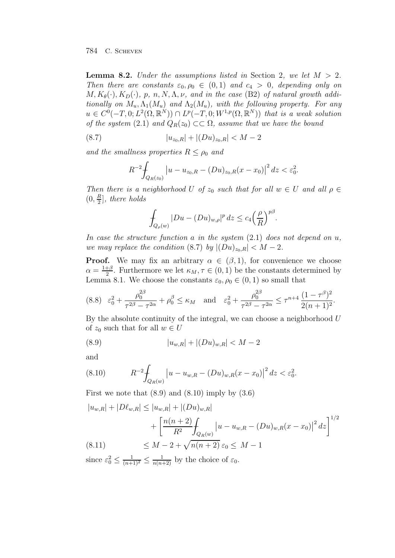**Lemma 8.2.** Under the assumptions listed in Section 2, we let  $M > 2$ . Then there are constants  $\varepsilon_0$ ,  $\rho_0 \in (0,1)$  and  $c_4 > 0$ , depending only on  $M, K_{\theta}(\cdot), K_D(\cdot), p, n, N, \Lambda, \nu,$  and in the case (B2) of natural growth additionally on  $M_u, \Lambda_1(M_u)$  and  $\Lambda_2(M_u)$ , with the following property. For any  $u \in C^0(-T, 0; L^2(\Omega, \mathbb{R}^N)) \cap L^p(-T, 0; W^{1,p}(\Omega, \mathbb{R}^N))$  that is a weak solution of the system (2.1) and  $Q_R(z_0) \subset \subset \Omega$ , assume that we have the bound

(8.7) 
$$
|u_{z_0,R}|+|(Du)_{z_0,R}|
$$

and the smallness properties  $R \leq \rho_0$  and

$$
R^{-2} \int_{Q_R(z_0)} |u - u_{z_0,R} - (Du)_{z_0,R}(x - x_0)|^2 dz < \varepsilon_0^2.
$$

Then there is a neighborhood U of  $z_0$  such that for all  $w \in U$  and all  $\rho \in$  $(0, \frac{R}{2}],$  there holds

$$
\int_{Q_{\rho}(w)} |Du - (Du)_{w,\rho}|^p dz \le c_4 \left(\frac{\rho}{R}\right)^{p\beta}.
$$

In case the structure function a in the system  $(2.1)$  does not depend on u, we may replace the condition (8.7) by  $|(Du)_{z_0,R}| < M-2$ .

**Proof.** We may fix an arbitrary  $\alpha \in (\beta, 1)$ , for convenience we choose  $\alpha = \frac{1+\beta}{2}$ . Furthermore we let  $\kappa_M, \tau \in (0,1)$  be the constants determined by Lemma 8.1. We choose the constants  $\varepsilon_0$ ,  $\rho_0 \in (0,1)$  so small that

$$
(8.8) \quad \varepsilon_0^2 + \frac{\rho_0^{2\beta}}{\tau^{2\beta} - \tau^{2\alpha}} + \rho_0^{\beta} \le \kappa_M \quad \text{and} \quad \varepsilon_0^2 + \frac{\rho_0^{2\beta}}{\tau^{2\beta} - \tau^{2\alpha}} \le \tau^{n+4} \frac{(1-\tau^{\beta})^2}{2(n+1)^2}.
$$

By the absolute continuity of the integral, we can choose a neighborhood  $U$ of  $z_0$  such that for all  $w \in U$ 

(8.9) 
$$
|u_{w,R}| + |(Du)_{w,R}| < M-2
$$

and

(8.10) 
$$
R^{-2} \int_{Q_R(w)} \left| u - u_{w,R} - (Du)_{w,R}(x - x_0) \right|^2 dz < \varepsilon_0^2.
$$

First we note that  $(8.9)$  and  $(8.10)$  imply by  $(3.6)$ 

$$
|u_{w,R}| + |D\ell_{w,R}| \le |u_{w,R}| + |(Du)_{w,R}|
$$
  
+ 
$$
\left[ \frac{n(n+2)}{R^2} \int_{Q_R(w)} |u - u_{w,R} - (Du)_{w,R}(x - x_0)|^2 dz \right]^{1/2}
$$
  
(8.11) 
$$
\le M - 2 + \sqrt{n(n+2)} \varepsilon_0 \le M - 1
$$

since  $\varepsilon_0^2 \leq \frac{1}{(n+1)^2} \leq \frac{1}{n(n+2)}$  by the choice of  $\varepsilon_0$ .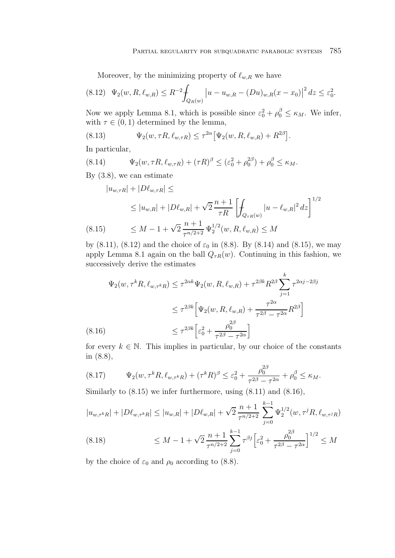Moreover, by the minimizing property of  $\ell_{w,R}$  we have

$$
(8.12) \quad \Psi_2(w, R, \ell_{w,R}) \le R^{-2} \int_{Q_R(w)} \left| u - u_{w,R} - (Du)_{w,R}(x - x_0) \right|^2 dz \le \varepsilon_0^2.
$$

Now we apply Lemma 8.1, which is possible since  $\varepsilon_0^2 + \rho_0^{\beta} \leq \kappa_M$ . We infer, with  $\tau \in (0, 1)$  determined by the lemma,

(8.13) 
$$
\Psi_2(w, \tau R, \ell_{w, \tau R}) \leq \tau^{2\alpha} \big[ \Psi_2(w, R, \ell_{w, R}) + R^{2\beta} \big].
$$

In particular,

(8.14) 
$$
\Psi_2(w, \tau R, \ell_{w, \tau R}) + (\tau R)^{\beta} \le (\varepsilon_0^2 + \rho_0^{2\beta}) + \rho_0^{\beta} \le \kappa_M.
$$

By (3.8), we can estimate

$$
|u_{w,\tau R}| + |D\ell_{w,\tau R}| \le
$$
  
\n
$$
\le |u_{w,R}| + |D\ell_{w,R}| + \sqrt{2} \frac{n+1}{\tau R} \left[ \int_{Q_{\tau R}(w)} |u - \ell_{w,R}|^2 dz \right]^{1/2}
$$
  
\n(8.15) 
$$
\le M - 1 + \sqrt{2} \frac{n+1}{\tau^{n/2+2}} \Psi_2^{1/2}(w, R, \ell_{w,R}) \le M
$$

by (8.11), (8.12) and the choice of  $\varepsilon_0$  in (8.8). By (8.14) and (8.15), we may apply Lemma 8.1 again on the ball  $Q_{\tau R}(w)$ . Continuing in this fashion, we successively derive the estimates

$$
\Psi_2(w, \tau^k R, \ell_{w, \tau^k R}) \le \tau^{2\alpha k} \Psi_2(w, R, \ell_{w, R}) + \tau^{2\beta k} R^{2\beta} \sum_{j=1}^k \tau^{2\alpha j - 2\beta j} \n\le \tau^{2\beta k} \left[ \Psi_2(w, R, \ell_{w, R}) + \frac{\tau^{2\alpha}}{\tau^{2\beta} - \tau^{2\alpha}} R^{2\beta} \right] \n(8.16) \le \tau^{2\beta k} \left[ \varepsilon_0^2 + \frac{\rho_0^{2\beta}}{\tau^{2\beta} - \tau^{2\alpha}} \right]
$$

for every  $k \in \mathbb{N}$ . This implies in particular, by our choice of the constants in (8.8),

(8.17) 
$$
\Psi_2(w, \tau^k R, \ell_{w, \tau^k R}) + (\tau^k R)^{\beta} \leq \varepsilon_0^2 + \frac{\rho_0^{2\beta}}{\tau^{2\beta} - \tau^{2\alpha}} + \rho_0^{\beta} \leq \kappa_M.
$$

Similarly to (8.15) we infer furthermore, using (8.11) and (8.16),

$$
|u_{w,\tau^k R}| + |D\ell_{w,\tau^k R}| \le |u_{w,R}| + |D\ell_{w,R}| + \sqrt{2} \frac{n+1}{\tau^{n/2+2}} \sum_{j=0}^{k-1} \Psi_2^{1/2}(w, \tau^j R, \ell_{w,\tau^j R})
$$
  
(8.18) 
$$
\le M - 1 + \sqrt{2} \frac{n+1}{\tau^{n/2+2}} \sum_{j=0}^{k-1} \tau^{\beta j} \Big[ \varepsilon_0^2 + \frac{\rho_0^{2\beta}}{\tau^{2\beta} - \tau^{2\alpha}} \Big]^{1/2} \le M
$$

by the choice of  $\varepsilon_0$  and  $\rho_0$  according to (8.8).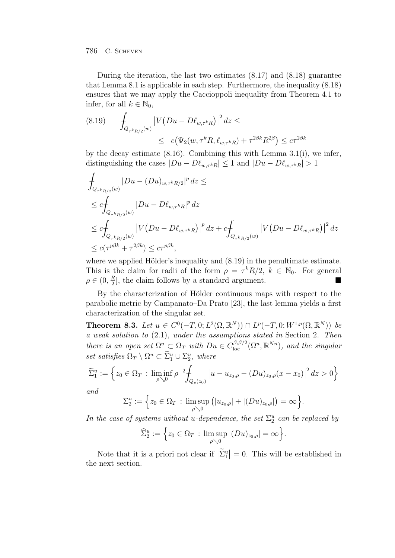During the iteration, the last two estimates  $(8.17)$  and  $(8.18)$  guarantee that Lemma 8.1 is applicable in each step. Furthermore, the inequality (8.18) ensures that we may apply the Caccioppoli inequality from Theorem 4.1 to infer, for all  $k \in \mathbb{N}_0$ ,

(8.19) 
$$
\int_{Q_{\tau^k R/2}(w)} |V(Du - D\ell_{w,\tau^k R})|^2 dz \le
$$
  
 
$$
\leq c (\Psi_2(w, \tau^k R, \ell_{w,\tau^k R}) + \tau^{2\beta k} R^{2\beta}) \leq c \tau^{2\beta k}
$$

by the decay estimate  $(8.16)$ . Combining this with Lemma  $3.1(i)$ , we infer, distinguishing the cases  $|Du - D\ell_{w,\tau^k R}| \leq 1$  and  $|Du - D\ell_{w,\tau^k R}| > 1$ 

$$
\begin{aligned} &\int_{Q_{\tau^k R/2}(w)} |Du - (Du)_{w,\tau^k R/2}|^p \, dz \leq \\ &\leq c \int_{Q_{\tau^k R/2}(w)} |Du - D\ell_{w,\tau^k R}|^p \, dz \\ &\leq c \int_{Q_{\tau^k R/2}(w)} \left| V \left( Du - D\ell_{w,\tau^k R} \right) \right|^p \, dz + c \int_{Q_{\tau^k R/2}(w)} \left| V \left( Du - D\ell_{w,\tau^k R} \right) \right|^2 \, dz \\ &\leq c (\tau^{p\beta k} + \tau^{2\beta k}) \leq c \tau^{p\beta k}, \end{aligned}
$$

where we applied Hölder's inequality and  $(8.19)$  in the penultimate estimate. This is the claim for radii of the form  $\rho = \tau^k R/2$ ,  $k \in \mathbb{N}_0$ . For general  $\rho \in (0, \frac{R}{2}]$ , the claim follows by a standard argument.

By the characterization of Hölder continuous maps with respect to the parabolic metric by Campanato–Da Prato [23], the last lemma yields a first characterization of the singular set.

**Theorem 8.3.** Let  $u \in C^0(-T, 0; L^2(\Omega, \mathbb{R}^N)) \cap L^p(-T, 0; W^{1,p}(\Omega, \mathbb{R}^N))$  be a weak solution to (2.1), under the assumptions stated in Section 2. Then there is an open set  $\Omega^u \subset \Omega_T$  with  $Du \in C^{(\beta,\beta/2)}_{loc}(\Omega^u,\mathbb{R}^{Nn})$ , and the singular set satisfies  $\Omega_T \setminus \Omega^u \subset \Sigma_1^u \cup \Sigma_2^u$ , where

$$
\widetilde{\Sigma}_1^u := \left\{ z_0 \in \Omega_T \, : \, \liminf_{\rho \searrow 0} \rho^{-2} \int_{Q_\rho(z_0)} \left| u - u_{z_0, \rho} - (Du)_{z_0, \rho} (x - x_0) \right|^2 dz > 0 \right\}
$$

and

$$
\Sigma_2^u := \Big\{ z_0 \in \Omega_T \, : \, \limsup_{\rho \searrow 0} \big( |u_{z_0, \rho}| + |(Du)_{z_0, \rho}| \big) = \infty \Big\}.
$$

In the case of systems without u-dependence, the set  $\Sigma_2^u$  can be replaced by

$$
\widehat{\Sigma}_2^u := \Big\{ z_0 \in \Omega_T \, : \, \limsup_{\rho \searrow 0} |(Du)_{z_0, \rho}| = \infty \Big\}.
$$

Note that it is a priori not clear if  $|\tilde{\Sigma}_{1}^{u}| = 0$ . This will be established in the next section.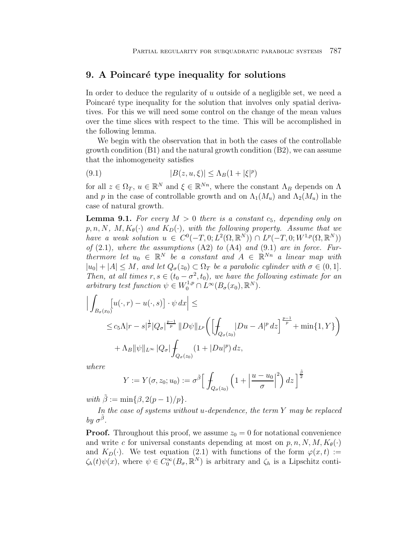# **9.** A Poincaré type inequality for solutions

In order to deduce the regularity of u outside of a negligible set, we need a Poincaré type inequality for the solution that involves only spatial derivatives. For this we will need some control on the change of the mean values over the time slices with respect to the time. This will be accomplished in the following lemma.

We begin with the observation that in both the cases of the controllable growth condition (B1) and the natural growth condition (B2), we can assume that the inhomogeneity satisfies

$$
(9.1) \t\t |B(z, u, \xi)| \le \Lambda_B(1 + |\xi|^p)
$$

for all  $z \in \Omega_T$ ,  $u \in \mathbb{R}^N$  and  $\xi \in \mathbb{R}^{N_n}$ , where the constant  $\Lambda_B$  depends on  $\Lambda$ and p in the case of controllable growth and on  $\Lambda_1(M_u)$  and  $\Lambda_2(M_u)$  in the case of natural growth.

**Lemma 9.1.** For every  $M > 0$  there is a constant  $c_5$ , depending only on  $p, n, N, M, K_{\theta}(\cdot)$  and  $K_{D}(\cdot)$ , with the following property. Assume that we have a weak solution  $u \in C^0(-T, 0; L^2(\Omega, \mathbb{R}^N)) \cap L^p(-T, 0; W^{1,p}(\Omega, \mathbb{R}^N))$ of  $(2.1)$ , where the assumptions  $(A2)$  to  $(A4)$  and  $(9.1)$  are in force. Furthermore let  $u_0 \in \mathbb{R}^N$  be a constant and  $A \in \mathbb{R}^{N_n}$  a linear map with  $|u_0| + |A| \leq M$ , and let  $Q_{\sigma}(z_0) \subset \Omega_T$  be a parabolic cylinder with  $\sigma \in (0,1]$ . Then, at all times  $r, s \in (t_0 - \sigma^2, t_0)$ , we have the following estimate for an arbitrary test function  $\psi \in W_0^{1,p} \cap L^{\infty}(B_{\sigma}(x_0), \mathbb{R}^N)$ .

$$
\left| \int_{B_{\sigma}(x_0)} [u(\cdot, r) - u(\cdot, s)] \cdot \psi \, dx \right| \le
$$
  
\n
$$
\leq c_5 \Lambda |r - s|^{\frac{1}{p}} |Q_{\sigma}|^{\frac{p-1}{p}} ||D\psi||_{L^p} \left( \left[ \int_{Q_{\sigma}(z_0)} |Du - A|^p \, dz \right]^{\frac{p-1}{p}} + \min\{1, Y\} \right)
$$
  
\n
$$
+ \Lambda_B ||\psi||_{L^{\infty}} |Q_{\sigma}| \int_{Q_{\sigma}(z_0)} (1 + |Du|^p) \, dz,
$$

where

$$
Y := Y(\sigma, z_0; u_0) := \sigma^{\tilde{\beta}} \Big[ \int_{Q_{\sigma}(z_0)} \left( 1 + \left| \frac{u - u_0}{\sigma} \right|^2 \right) dz \Big]^{\frac{\tilde{\beta}}{2}}
$$

with  $\tilde{\beta} := \min\{\beta, 2(p-1)/p\}.$ 

In the case of systems without u-dependence, the term Y may be replaced by  $\sigma^{\tilde{\beta}}$ .

**Proof.** Throughout this proof, we assume  $z_0 = 0$  for notational convenience and write c for universal constants depending at most on p, n, N,  $M$ ,  $K_{\theta}(\cdot)$ and  $K_D(\cdot)$ . We test equation (2.1) with functions of the form  $\varphi(x, t) :=$  $\zeta_h(t)\psi(x)$ , where  $\psi \in C_0^{\infty}(B_{\sigma},\mathbb{R}^N)$  is arbitrary and  $\zeta_h$  is a Lipschitz conti-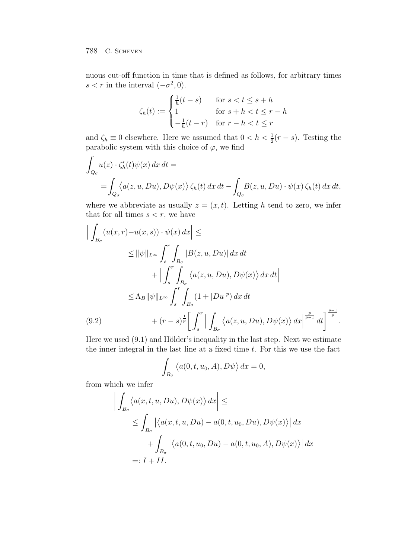nuous cut-off function in time that is defined as follows, for arbitrary times  $s < r$  in the interval  $(-\sigma^2, 0)$ .

$$
\zeta_h(t) := \begin{cases} \frac{1}{h}(t-s) & \text{for } s < t \le s+h \\ 1 & \text{for } s+h < t \le r-h \\ -\frac{1}{h}(t-r) & \text{for } r-h < t \le r \end{cases}
$$

and  $\zeta_h \equiv 0$  elsewhere. Here we assumed that  $0 < h < \frac{1}{2}(r - s)$ . Testing the parabolic system with this choice of  $\varphi$ , we find

$$
\int_{Q_{\sigma}} u(z) \cdot \zeta'_{h}(t) \psi(x) dx dt =
$$
\n
$$
= \int_{Q_{\sigma}} \langle a(z, u, Du), D\psi(x) \rangle \zeta_{h}(t) dx dt - \int_{Q_{\sigma}} B(z, u, Du) \cdot \psi(x) \zeta_{h}(t) dx dt,
$$

where we abbreviate as usually  $z = (x, t)$ . Letting h tend to zero, we infer that for all times  $s < r$ , we have

$$
\left| \int_{B_{\sigma}} (u(x, r) - u(x, s)) \cdot \psi(x) dx \right| \le
$$
  
\n
$$
\leq \|\psi\|_{L^{\infty}} \int_{s}^{r} \int_{B_{\sigma}} |B(z, u, Du)| dx dt
$$
  
\n
$$
+ \left| \int_{s}^{r} \int_{B_{\sigma}} \langle a(z, u, Du), D\psi(x) \rangle dx dt \right|
$$
  
\n
$$
\leq \Lambda_{B} \|\psi\|_{L^{\infty}} \int_{s}^{r} \int_{B_{\sigma}} (1 + |Du|^{p}) dx dt
$$
  
\n(9.2) 
$$
+ (r - s)^{\frac{1}{p}} \Bigg[ \int_{s}^{r} \Big| \int_{B_{\sigma}} \langle a(z, u, Du), D\psi(x) \rangle dx \Big|^{\frac{p}{p-1}} dt \Bigg]^{\frac{p-1}{p}}.
$$

Here we used  $(9.1)$  and Hölder's inequality in the last step. Next we estimate the inner integral in the last line at a fixed time t. For this we use the fact

$$
\int_{B_{\sigma}} \langle a(0, t, u_0, A), D\psi \rangle dx = 0,
$$

from which we infer

$$
\left| \int_{B_{\sigma}} \langle a(x, t, u, Du), D\psi(x) \rangle dx \right| \le
$$
  
\n
$$
\leq \int_{B_{\sigma}} \left| \langle a(x, t, u, Du) - a(0, t, u_0, Du), D\psi(x) \rangle \right| dx
$$
  
\n
$$
+ \int_{B_{\sigma}} \left| \langle a(0, t, u_0, Du) - a(0, t, u_0, A), D\psi(x) \rangle \right| dx
$$
  
\n
$$
=: I + II.
$$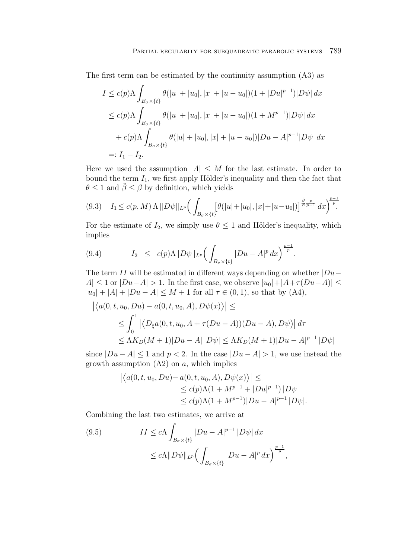The first term can be estimated by the continuity assumption (A3) as

$$
I \le c(p)\Lambda \int_{B_{\sigma} \times \{t\}} \theta(|u| + |u_0|, |x| + |u - u_0|)(1 + |Du|^{p-1})|D\psi| dx
$$
  
\n
$$
\le c(p)\Lambda \int_{B_{\sigma} \times \{t\}} \theta(|u| + |u_0|, |x| + |u - u_0|)(1 + M^{p-1})|D\psi| dx
$$
  
\n
$$
+ c(p)\Lambda \int_{B_{\sigma} \times \{t\}} \theta(|u| + |u_0|, |x| + |u - u_0|)|Du - A|^{p-1}|D\psi| dx
$$
  
\n
$$
=: I_1 + I_2.
$$

Here we used the assumption  $|A| \leq M$  for the last estimate. In order to bound the term  $I_1$ , we first apply Hölder's inequality and then the fact that  $\theta \leq 1$  and  $\tilde{\beta} \leq \beta$  by definition, which yields

$$
(9.3) \quad I_1 \le c(p, M) \Lambda \, \|D\psi\|_{L^p} \Big( \int_{B_{\sigma} \times \{t\}} [\theta(|u|+|u_0|, |x|+|u-u_0|)]^{\frac{\tilde{\beta}}{\tilde{\beta}}\frac{p}{p-1}} \, dx \Big)^{\frac{p-1}{p}}.
$$

For the estimate of  $I_2$ , we simply use  $\theta \leq 1$  and Hölder's inequality, which implies

(9.4) 
$$
I_2 \leq c(p)\Lambda \|D\psi\|_{L^p} \Big(\int_{B_{\sigma} \times \{t\}} |Du - A|^p dx\Big)^{\frac{p-1}{p}}.
$$

The term II will be estimated in different ways depending on whether  $|Du A| \leq 1$  or  $|Du-A| > 1$ . In the first case, we observe  $|u_0|+|A+\tau(Du-A)| \leq$  $|u_0| + |A| + |Du - A| \leq M + 1$  for all  $\tau \in (0, 1)$ , so that by  $(A4)$ ,

$$
\left| \langle a(0, t, u_0, Du) - a(0, t, u_0, A), D\psi(x) \rangle \right| \le
$$
  
\n
$$
\le \int_0^1 \left| \langle D_\xi a(0, t, u_0, A + \tau(Du - A))(Du - A), D\psi \rangle \right| d\tau
$$
  
\n
$$
\le \Lambda K_D(M+1)|Du - A||D\psi| \le \Lambda K_D(M+1)|Du - A|^{p-1}|D\psi|
$$

since  $|Du - A| \leq 1$  and  $p < 2$ . In the case  $|Du - A| > 1$ , we use instead the growth assumption  $(A2)$  on a, which implies

$$
\left| \langle a(0, t, u_0, Du) - a(0, t, u_0, A), D\psi(x) \rangle \right| \le
$$
  
\n
$$
\le c(p)\Lambda(1 + M^{p-1} + |Du|^{p-1})|D\psi|
$$
  
\n
$$
\le c(p)\Lambda(1 + M^{p-1})|Du - A|^{p-1}|D\psi|.
$$

Combining the last two estimates, we arrive at

(9.5) 
$$
II \le c\Lambda \int_{B_{\sigma} \times \{t\}} |Du - A|^{p-1} |D\psi| dx
$$

$$
\le c\Lambda ||D\psi||_{L^p} \Big(\int_{B_{\sigma} \times \{t\}} |Du - A|^p dx\Big)^{\frac{p-1}{p}},
$$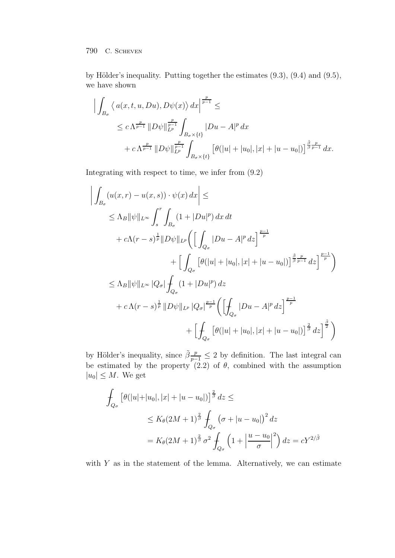by Hölder's inequality. Putting together the estimates  $(9.3)$ ,  $(9.4)$  and  $(9.5)$ , we have shown

$$
\left| \int_{B_{\sigma}} \left\langle a(x, t, u, Du), D\psi(x) \right\rangle dx \right|^{p} \le
$$
  
\n
$$
\leq c \Lambda^{\frac{p}{p-1}} \|D\psi\|_{L^p}^{\frac{p}{p-1}} \int_{B_{\sigma} \times \{t\}} |Du - A|^p dx
$$
  
\n
$$
+ c \Lambda^{\frac{p}{p-1}} \|D\psi\|_{L^p}^{\frac{p}{p-1}} \int_{B_{\sigma} \times \{t\}} \left[ \theta(|u| + |u_0|, |x| + |u - u_0|) \right]^{\frac{\tilde{\beta}}{\tilde{\beta}} \frac{p}{p-1}} dx.
$$

Integrating with respect to time, we infer from (9.2)

$$
\left| \int_{B_{\sigma}} (u(x, r) - u(x, s)) \cdot \psi(x) dx \right| \le
$$
  
\n
$$
\leq \Lambda_B ||\psi||_{L^{\infty}} \int_{s}^{r} \int_{B_{\sigma}} (1 + |Du|^{p}) dx dt
$$
  
\n
$$
+ c\Lambda (r - s)^{\frac{1}{p}} ||D\psi||_{L^{p}} \left( \left[ \int_{Q_{\sigma}} |Du - A|^{p} dz \right]^{\frac{p-1}{p}} + \left[ \int_{Q_{\sigma}} \left[ \theta(|u| + |u_{0}|, |x| + |u - u_{0}|) \right]^{\frac{\tilde{\beta}}{\tilde{\beta}} \frac{p}{p-1}} dz \right]^{\frac{p-1}{p}} \right)
$$
  
\n
$$
\leq \Lambda_B ||\psi||_{L^{\infty}} |Q_{\sigma}| \int_{Q_{\sigma}} (1 + |Du|^{p}) dz
$$
  
\n
$$
+ c\Lambda (r - s)^{\frac{1}{p}} ||D\psi||_{L^{p}} |Q_{\sigma}|^{\frac{p-1}{p}} \left( \left[ \int_{Q_{\sigma}} |Du - A|^{p} dz \right]^{\frac{p-1}{p}} + \left[ \int_{Q_{\sigma}} \left[ \theta(|u| + |u_{0}|, |x| + |u - u_{0}|) \right]^{\frac{\tilde{\beta}}{\tilde{\beta}}} dz \right]^{\frac{\tilde{\beta}}{2}} \right)
$$

by Hölder's inequality, since  $\tilde{\beta} \frac{p}{p-1} \leq 2$  by definition. The last integral can be estimated by the property  $(2.2)$  of  $\theta$ , combined with the assumption  $|u_0| \leq M$ . We get

$$
\int_{Q_{\sigma}} \left[ \theta(|u| + |u_0|, |x| + |u - u_0|) \right]^{\frac{2}{\beta}} dz \le
$$
\n
$$
\le K_{\theta} (2M + 1)^{\frac{2}{\beta}} \int_{Q_{\sigma}} (\sigma + |u - u_0|)^2 dz
$$
\n
$$
= K_{\theta} (2M + 1)^{\frac{2}{\beta}} \sigma^2 \int_{Q_{\sigma}} \left( 1 + \left| \frac{u - u_0}{\sigma} \right|^2 \right) dz = cY^{2/\tilde{\beta}}
$$

with  $Y$  as in the statement of the lemma. Alternatively, we can estimate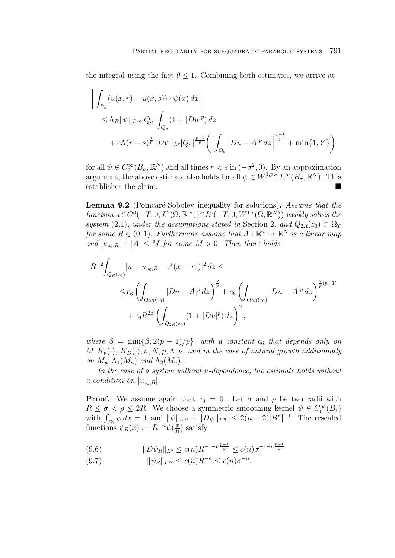the integral using the fact  $\theta \leq 1$ . Combining both estimates, we arrive at

$$
\left| \int_{B_{\sigma}} (u(x, r) - u(x, s)) \cdot \psi(x) dx \right|
$$
  
\n
$$
\leq \Lambda_B ||\psi||_{L^{\infty}} |Q_{\sigma}| \int_{Q_{\sigma}} (1 + |Du|^p) dz
$$
  
\n
$$
+ c\Lambda (r - s)^{\frac{1}{p}} ||D\psi||_{L^p} |Q_{\sigma}|^{\frac{p-1}{p}} \left( \left[ \int_{Q_{\sigma}} |Du - A|^p dz \right]^{\frac{p-1}{p}} + \min\{1, Y\} \right)
$$

for all  $\psi \in C_0^{\infty}(B_\sigma, \mathbb{R}^N)$  and all times  $r < s$  in  $(-\sigma^2, 0)$ . By an approximation argument, the above estimate also holds for all  $\psi \in W_0^{1,p} \cap L^\infty(B_\sigma, \mathbb{R}^N)$ . This establishes the claim.

Lemma 9.2 (Poincaré-Sobolev inequality for solutions). Assume that the function  $u \in C^0(-T, 0; L^2(\Omega, \mathbb{R}^N)) \cap L^p(-T, 0; W^{1,p}(\Omega, \mathbb{R}^N))$  weakly solves the system (2.1), under the assumptions stated in Section 2, and  $Q_{2R}(z_0) \subset \Omega_T$ for some  $R \in (0,1)$ . Furthermore assume that  $A : \mathbb{R}^n \to \mathbb{R}^N$  is a linear map and  $|u_{z_0,R}|+|A| \leq M$  for some  $M > 0$ . Then there holds

$$
R^{-2} \n\int_{Q_R(z_0)} |u - u_{z_0,R} - A(x - x_0)|^2 \, dz \le
$$
  
\n
$$
\leq c_6 \left( \n\int_{Q_{2R}(z_0)} |Du - A|^p \, dz \right)^{\frac{2}{p}} + c_6 \left( \n\int_{Q_{2R}(z_0)} |Du - A|^p \, dz \right)^{\frac{2}{p}(p-1)}
$$
  
\n
$$
+ c_6 R^{2\tilde{\beta}} \left( \n\int_{Q_{2R}(z_0)} (1 + |Du|^p) \, dz \right)^2,
$$

where  $\tilde{\beta} = \min\{\beta, 2(p-1)/p\}$ , with a constant  $c_6$  that depends only on  $M, K_{\theta}(\cdot), K_{D}(\cdot), n, N, p, \Lambda, \nu,$  and in the case of natural growth additionally on  $M_u, \Lambda_1(M_u)$  and  $\Lambda_2(M_u)$ .

In the case of a system without u-dependence, the estimate holds without a condition on  $|u_{z_0,R}|$ .

**Proof.** We assume again that  $z_0 = 0$ . Let  $\sigma$  and  $\rho$  be two radii with  $R \leq \sigma < \rho \leq 2R$ . We choose a symmetric smoothing kernel  $\psi \in C_0^{\infty}(B_1)$ with  $\int_{B_1} \psi dx = 1$  and  $\|\psi\|_{L^\infty} + \|D\psi\|_{L^\infty} \leq 2(n+2)|B^n|^{-1}$ . The rescaled functions  $\psi_R(x) := R^{-n} \psi(\frac{x}{R})$  satisfy

$$
(9.6) \t\t\t ||D\psi_R||_{L^p} \le c(n)R^{-1-n\frac{p-1}{p}} \le c(n)\sigma^{-1-n\frac{p-1}{p}}
$$

(9.7)  $\|\psi_B\|_{L^\infty} \le c(n)R^{-n} \le c(n)\sigma^{-n}.$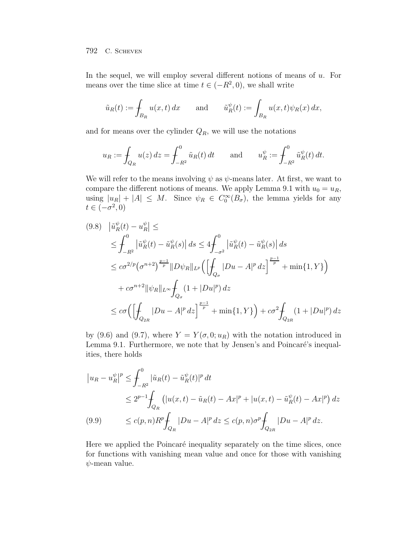In the sequel, we will employ several different notions of means of  $u$ . For means over the time slice at time  $t \in (-R^2, 0)$ , we shall write

$$
\tilde{u}_R(t) := \int_{B_R} u(x, t) dx \quad \text{and} \quad \tilde{u}_R^{\psi}(t) := \int_{B_R} u(x, t) \psi_R(x) dx,
$$

and for means over the cylinder  $Q_R$ , we will use the notations

$$
u_R := \int_{Q_R} u(z) dz = \int_{-R^2}^0 \tilde{u}_R(t) dt
$$
 and  $u_R^{\psi} := \int_{-R^2}^0 \tilde{u}_R^{\psi}(t) dt$ .

We will refer to the means involving  $\psi$  as  $\psi$ -means later. At first, we want to compare the different notions of means. We apply Lemma 9.1 with  $u_0 = u_R$ , using  $|u_R| + |A| \leq M$ . Since  $\psi_R \in C_0^{\infty}(B_{\sigma})$ , the lemma yields for any  $t\in(-\sigma^2,0)$ 

$$
(9.8) \quad \left| \tilde{u}_R^{\psi}(t) - u_R^{\psi} \right| \le
$$
\n
$$
\leq \int_{-R^2}^0 \left| \tilde{u}_R^{\psi}(t) - \tilde{u}_R^{\psi}(s) \right| ds \leq 4 \int_{-\sigma^2}^0 \left| \tilde{u}_R^{\psi}(t) - \tilde{u}_R^{\psi}(s) \right| ds
$$
\n
$$
\leq c\sigma^{2/p} \left( \sigma^{n+2} \right)^{\frac{p-1}{p}} \left\| D\psi_R \right\|_{L^p} \left( \left[ \int_{Q_{\sigma}} |Du - A|^p \, dz \right]^{\frac{p-1}{p}} + \min\{1, Y\} \right)
$$
\n
$$
+ c\sigma^{n+2} \|\psi_R\|_{L^{\infty}} \int_{Q_{\sigma}} (1 + |Du|^p) \, dz
$$
\n
$$
\leq c\sigma \left( \left[ \int_{Q_{2R}} |Du - A|^p \, dz \right]^{\frac{p-1}{p}} + \min\{1, Y\} \right) + c\sigma^2 \int_{Q_{2R}} (1 + |Du|^p) \, dz
$$

by (9.6) and (9.7), where  $Y = Y(\sigma, 0; u_R)$  with the notation introduced in Lemma 9.1. Furthermore, we note that by Jensen's and Poincaré's inequalities, there holds

$$
\begin{aligned}\n|u_R - u_R^{\psi}|^p &\leq \int_{-R^2}^0 |\tilde{u}_R(t) - \tilde{u}_R^{\psi}(t)|^p \, dt \\
&\leq 2^{p-1} \int_{Q_R} \left( |u(x, t) - \tilde{u}_R(t) - Ax|^p + |u(x, t) - \tilde{u}_R^{\psi}(t) - Ax|^p \right) \, dz \\
&\leq c(p, n) R^p \int_{Q_R} |Du - A|^p \, dz \leq c(p, n) \sigma^p \int_{Q_{2R}} |Du - A|^p \, dz.\n\end{aligned}
$$

Here we applied the Poincaré inequality separately on the time slices, once for functions with vanishing mean value and once for those with vanishing  $\psi$ -mean value.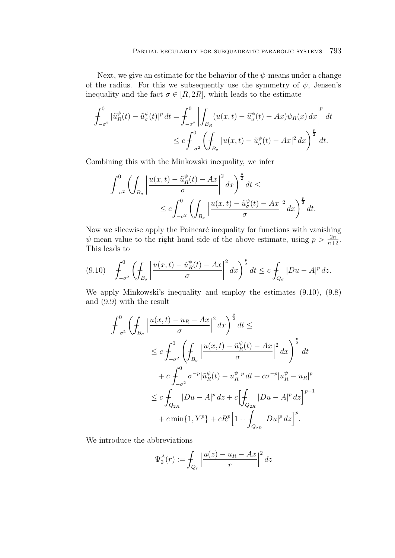Next, we give an estimate for the behavior of the  $\psi$ -means under a change of the radius. For this we subsequently use the symmetry of  $\psi$ , Jensen's inequality and the fact  $\sigma \in [R, 2R]$ , which leads to the estimate

$$
\int_{-\sigma^2}^0 |\tilde{u}_R^{\psi}(t) - \tilde{u}_\sigma^{\psi}(t)|^p dt = \int_{-\sigma^2}^0 \left| \int_{B_R} (u(x, t) - \tilde{u}_\sigma^{\psi}(t) - Ax) \psi_R(x) dx \right|^p dt
$$
  

$$
\leq c \int_{-\sigma^2}^0 \left( \int_{B_\sigma} |u(x, t) - \tilde{u}_\sigma^{\psi}(t) - Ax|^2 dx \right)^{\frac{p}{2}} dt.
$$

Combining this with the Minkowski inequality, we infer

$$
\int_{-\sigma^2}^0 \left( \int_{B_{\sigma}} \left| \frac{u(x,t) - \tilde{u}_R^{\psi}(t) - Ax}{\sigma} \right|^2 dx \right)^{\frac{p}{2}} dt \le
$$
  

$$
\le c \int_{-\sigma^2}^0 \left( \int_{B_{\sigma}} \left| \frac{u(x,t) - \tilde{u}_\sigma^{\psi}(t) - Ax}{\sigma} \right|^2 dx \right)^{\frac{p}{2}} dt.
$$

Now we slicewise apply the Poincaré inequality for functions with vanishing  $\psi$ -mean value to the right-hand side of the above estimate, using  $p > \frac{2n}{n+2}$ . This leads to

$$
(9.10) \quad \int_{-\sigma^2}^0 \left(\int_{B_{\sigma}} \left|\frac{u(x,t)-\tilde{u}_R^{\psi}(t)-Ax}{\sigma}\right|^2 dx\right)^{\frac{p}{2}} dt \leq c \int_{Q_{\sigma}} |Du-A|^p \, dz.
$$

We apply Minkowski's inequality and employ the estimates (9.10), (9.8) and (9.9) with the result

$$
\int_{-\sigma^2}^{0} \left( \oint_{B_{\sigma}} \left| \frac{u(x,t) - u_R - Ax}{\sigma} \right|^2 dx \right)^{\frac{p}{2}} dt \le
$$
\n
$$
\leq c \int_{-\sigma^2}^{0} \left( \oint_{B_{\sigma}} \left| \frac{u(x,t) - \tilde{u}_R^{\psi}(t) - Ax}{\sigma} \right|^2 dx \right)^{\frac{p}{2}} dt
$$
\n
$$
+ c \int_{-\sigma^2}^{0} \sigma^{-p} |\tilde{u}_R^{\psi}(t) - u_R^{\psi}|^p dt + c \sigma^{-p} |u_R^{\psi} - u_R|^p
$$
\n
$$
\leq c \int_{Q_{2R}} |Du - A|^p dz + c \left[ \oint_{Q_{2R}} |Du - A|^p dz \right]^{p-1}
$$
\n
$$
+ c \min\{1, Y^p\} + cR^p \left[1 + \oint_{Q_{2R}} |Du|^p dz\right]^p.
$$

We introduce the abbreviations

$$
\Psi_2^A(r) := \int_{Q_r} \left| \frac{u(z) - u_R - Ax}{r} \right|^2 dz
$$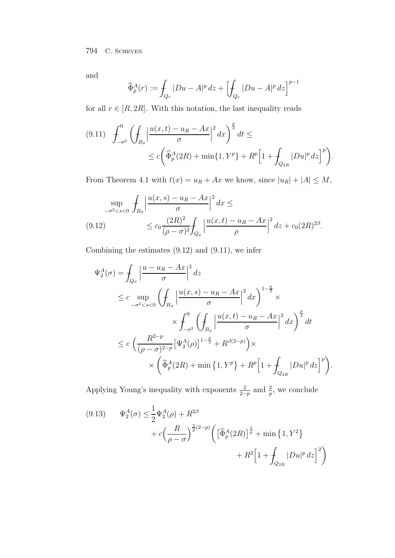and

$$
\widehat{\Phi}_p^A(r) := \int_{Q_r} |Du - A|^p \, dz + \left[ \int_{Q_r} |Du - A|^p \, dz \right]^{p-1}
$$

for all  $r \in [R, 2R]$ . With this notation, the last inequality reads

$$
(9.11) \quad \int_{-\sigma^2}^{0} \left( \int_{B_{\sigma}} \left| \frac{u(x,t) - u_R - Ax}{\sigma} \right|^2 dx \right)^{\frac{p}{2}} dt \le
$$
  

$$
\le c \left( \widehat{\Phi}_p^A(2R) + \min\{1, Y^p\} + R^p \Big[ 1 + \int_{Q_{2R}} |Du|^p dz \Big]^p \right).
$$

From Theorem 4.1 with  $\ell(x) = u_R + Ax$  we know, since  $|u_R| + |A| \le M$ ,

$$
\sup_{-\sigma^2 < s < 0} \int_{B_{\sigma}} \left| \frac{u(x,s) - u_R - Ax}{\sigma} \right|^2 dx \le
$$
\n
$$
(9.12) \le c_0 \frac{(2R)^2}{(\rho - \sigma)^2} \int_{Q_{\rho}} \left| \frac{u(x,t) - u_R - Ax}{\rho} \right|^2 dx + c_0 (2R)^{2\beta}.
$$

Combining the estimates (9.12) and (9.11), we infer

$$
\Psi_2^A(\sigma) = \int_{Q_{\sigma}} \left| \frac{u - u_R - Ax}{\sigma} \right|^2 dz
$$
\n
$$
\leq c \sup_{-\sigma^2 < s < 0} \left( \int_{B_{\sigma}} \left| \frac{u(x, s) - u_R - Ax}{\sigma} \right|^2 dx \right)^{1 - \frac{p}{2}} \times
$$
\n
$$
\times \int_{-\sigma^2}^0 \left( \int_{B_{\sigma}} \left| \frac{u(x, t) - u_R - Ax}{\sigma} \right|^2 dx \right)^{\frac{p}{2}} dt
$$
\n
$$
\leq c \left( \frac{R^{2 - p}}{(\rho - \sigma)^{2 - p}} \left[ \Psi_2^A(\rho) \right]^{1 - \frac{p}{2}} + R^{\beta(2 - p)} \right) \times
$$
\n
$$
\times \left( \widehat{\Phi}_p^A(2R) + \min \left\{ 1, Y^p \right\} + R^p \left[ 1 + \int_{Q_{2R}} |Du|^p dz \right]^p \right).
$$

Applying Young's inequality with exponents  $\frac{2}{2-p}$  and  $\frac{2}{p}$ , we conclude

$$
(9.13) \t\Psi_2^A(\sigma) \le \frac{1}{2} \Psi_2^A(\rho) + R^{2\beta} + c \Big( \frac{R}{\rho - \sigma} \Big)^{\frac{2}{p}(2-p)} \Big( \Big[ \widehat{\Phi}_p^A(2R) \Big]^{\frac{2}{p}} + \min \left\{ 1, Y^2 \right\} + R^2 \Big[ 1 + \int_{Q_{2R}} |Du|^p \, dz \Big]^2 \Big)
$$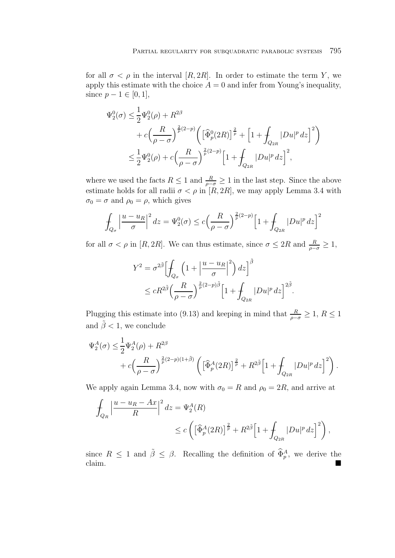for all  $\sigma < \rho$  in the interval [R, 2R]. In order to estimate the term Y, we apply this estimate with the choice  $A = 0$  and infer from Young's inequality, since  $p - 1 \in [0, 1]$ ,

$$
\Psi_2^0(\sigma) \le \frac{1}{2} \Psi_2^0(\rho) + R^{2\beta} \n+ c \left( \frac{R}{\rho - \sigma} \right)^{\frac{2}{p}(2-p)} \left( \left[ \widehat{\Phi}_p^0(2R) \right]^{\frac{2}{p}} + \left[ 1 + \int_{Q_{2R}} |Du|^p \, dz \right]^2 \right) \n\le \frac{1}{2} \Psi_2^0(\rho) + c \left( \frac{R}{\rho - \sigma} \right)^{\frac{2}{p}(2-p)} \left[ 1 + \int_{Q_{2R}} |Du|^p \, dz \right]^2,
$$

where we used the facts  $R \leq 1$  and  $\frac{R}{\rho - \sigma} \geq 1$  in the last step. Since the above estimate holds for all radii  $\sigma < \rho$  in [R, 2R], we may apply Lemma 3.4 with  $\sigma_0 = \sigma$  and  $\rho_0 = \rho$ , which gives

$$
\int_{Q_{\sigma}} \left| \frac{u - u_R}{\sigma} \right|^2 dz = \Psi_2^0(\sigma) \le c \left( \frac{R}{\rho - \sigma} \right)^{\frac{2}{p}(2-p)} \left[ 1 + \int_{Q_{2R}} |Du|^p \, dz \right]^2
$$

for all  $\sigma < \rho$  in [R, 2R]. We can thus estimate, since  $\sigma \leq 2R$  and  $\frac{R}{\rho - \sigma} \geq 1$ ,

$$
Y^2 = \sigma^{2\tilde{\beta}} \Biggl[ \int_{Q_{\sigma}} \left( 1 + \left| \frac{u - u_R}{\sigma} \right|^2 \right) dz \Biggr]^{\tilde{\beta}} \n\leq c R^{2\tilde{\beta}} \Biggl( \frac{R}{\rho - \sigma} \Biggr)^{\frac{2}{p}(2-p)\tilde{\beta}} \Biggl[ 1 + \int_{Q_{2R}} |Du|^p \, dz \Biggr]^{2\tilde{\beta}}.
$$

Plugging this estimate into (9.13) and keeping in mind that  $\frac{R}{\rho - \sigma} \geq 1$ ,  $R \leq 1$ and  $\tilde{\beta}$  < 1, we conclude

$$
\begin{split} \Psi_{2}^{A}(\sigma) & \leq \frac{1}{2} \Psi_{2}^{A}(\rho) + R^{2\beta} \\ & + c \Big( \frac{R}{\rho - \sigma} \Big)^{\frac{2}{p}(2-p)(1 + \tilde{\beta})} \left( \Big[ \widehat{\Phi}_{p}^{A}(2R) \Big]^{\frac{2}{p}} + R^{2\tilde{\beta}} \Big[ 1 + \int_{Q_{2R}} |Du|^{p} \, dz \Big]^{2} \right). \end{split}
$$

We apply again Lemma 3.4, now with  $\sigma_0 = R$  and  $\rho_0 = 2R$ , and arrive at

$$
\int_{Q_R} \left| \frac{u - u_R - Ax}{R} \right|^2 dz = \Psi_2^A(R)
$$
\n
$$
\leq c \left( \left[ \widehat{\Phi}_p^A(2R) \right]^{\frac{2}{p}} + R^{2\tilde{\beta}} \left[ 1 + \int_{Q_{2R}} |Du|^p dz \right]^2 \right),
$$

since  $R \leq 1$  and  $\tilde{\beta} \leq \beta$ . Recalling the definition of  $\widehat{\Phi}_{p}^{A}$ , we derive the claim.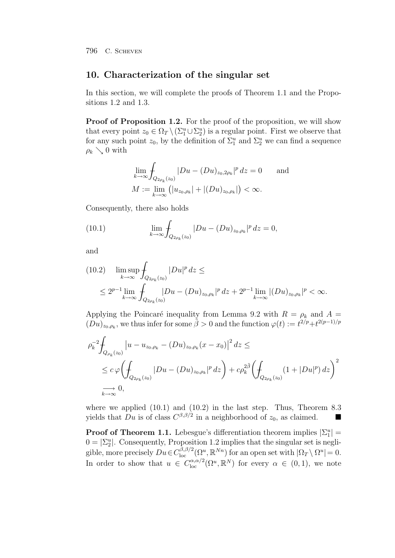## **10. Characterization of the singular set**

In this section, we will complete the proofs of Theorem 1.1 and the Propositions 1.2 and 1.3.

**Proof of Proposition 1.2.** For the proof of the proposition, we will show that every point  $z_0 \in \Omega_T \setminus (\Sigma_1^u \cup \Sigma_2^u)$  is a regular point. First we observe that for any such point  $z_0$ , by the definition of  $\Sigma_1^u$  and  $\Sigma_2^u$  we can find a sequence  $\rho_k \searrow 0$  with

$$
\lim_{k \to \infty} \int_{Q_{2\rho_k}(z_0)} |Du - (Du)_{z_0,2\rho_k}|^p \, dz = 0 \quad \text{and}
$$
  

$$
M := \lim_{k \to \infty} \left( |u_{z_0,\rho_k}| + |(Du)_{z_0,\rho_k}| \right) < \infty.
$$

Consequently, there also holds

(10.1) 
$$
\lim_{k \to \infty} \int_{Q_{2\rho_k}(z_0)} |Du - (Du)_{z_0, \rho_k}|^p dz = 0,
$$

and

$$
(10.2) \limsup_{k \to \infty} \int_{Q_{2\rho_k}(z_0)} |Du|^p dz \le
$$
  
 
$$
\leq 2^{p-1} \lim_{k \to \infty} \int_{Q_{2\rho_k}(z_0)} |Du - (Du)_{z_0, \rho_k}|^p dz + 2^{p-1} \lim_{k \to \infty} |(Du)_{z_0, \rho_k}|^p < \infty.
$$

Applying the Poincaré inequality from Lemma 9.2 with  $R = \rho_k$  and  $A =$  $(Du)_{z_0,\rho_k}$ , we thus infer for some  $\tilde{\beta} > 0$  and the function  $\varphi(t) := t^{2/p} + t^{2(p-1)/p}$ 

$$
\rho_k^{-2} \int_{Q_{\rho_k}(z_0)} |u - u_{z_0, \rho_k} - (Du)_{z_0, \rho_k}(x - x_0)|^2 dz \le
$$
  
\n
$$
\le c \varphi \Biggl( \int_{Q_{2\rho_k}(z_0)} |Du - (Du)_{z_0, \rho_k}|^p dz \Biggr) + c \rho_k^{2\tilde{\beta}} \Biggl( \int_{Q_{2\rho_k}(z_0)} (1 + |Du|^p) dz \Biggr)^2
$$
  
\n
$$
\implies 0,
$$

where we applied  $(10.1)$  and  $(10.2)$  in the last step. Thus, Theorem 8.3 yields that Du is of class  $C^{\beta,\beta/2}$  in a neighborhood of  $z_0$ , as claimed.

**Proof of Theorem 1.1.** Lebesgue's differentiation theorem implies  $|\Sigma_1^u|$  =  $0 = \left| \Sigma_2^u \right|$ . Consequently, Proposition 1.2 implies that the singular set is negligible, more precisely  $Du \in C^{(\beta,\beta/2)}_{loc}(\Omega^u,\mathbb{R}^{Nn})$  for an open set with  $|\Omega_T \setminus \Omega^u|=0$ . In order to show that  $u \in C^{\alpha,\alpha/2}_{\text{loc}}(\Omega^u,\mathbb{R}^N)$  for every  $\alpha \in (0,1)$ , we note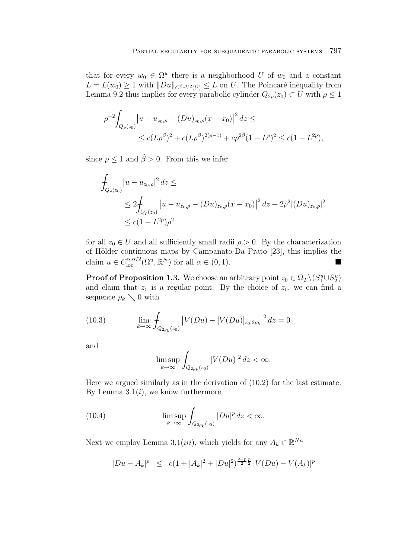that for every  $w_0 \in \Omega^u$  there is a neighborhood U of  $w_0$  and a constant  $L = L(w_0) \geq 1$  with  $||Du||_{C^{\beta,\beta/2}(U)} \leq L$  on U. The Poincaré inequality from Lemma 9.2 thus implies for every parabolic cylinder  $Q_{2\rho}(z_0) \subset U$  with  $\rho \leq 1$ 

$$
\rho^{-2} \int_{Q_{\rho}(z_0)} \left| u - u_{z_0, \rho} - (Du)_{z_0, \rho}(x - x_0) \right|^2 dz \le
$$
  
\$\le c(L\rho^{\beta})^2 + c(L\rho^{\beta})^{2(p-1)} + c\rho^{2\tilde{\beta}}(1 + L^p)^2 \le c(1 + L^{2p}),

since  $\rho \leq 1$  and  $\tilde{\beta} > 0$ . From this we infer

$$
\int_{Q_{\rho}(z_0)} |u - u_{z_0, \rho}|^2 dz \le
$$
\n
$$
\leq 2 \int_{Q_{\rho}(z_0)} |u - u_{z_0, \rho} - (Du)_{z_0, \rho}(x - x_0)|^2 dz + 2\rho^2 |(Du)_{z_0, \rho}|^2
$$
\n
$$
\leq c(1 + L^{2p})\rho^2
$$

for all  $z_0 \in U$  and all sufficiently small radii  $\rho > 0$ . By the characterization of Hölder continuous maps by Campanato-Da Prato [23], this implies the claim  $u \in C_{\text{loc}}^{\alpha,\alpha/2}(\Omega^u,\mathbb{R}^N)$  for all  $\alpha \in (0,1)$ .

**Proof of Proposition 1.3.** We choose an arbitrary point  $z_0 \in \Omega_T \setminus (S_1^u \cup S_2^u)$ and claim that  $z_0$  is a regular point. By the choice of  $z_0$ , we can find a sequence  $\rho_k \searrow 0$  with

(10.3) 
$$
\lim_{k \to \infty} \int_{Q_{2\rho_k}(z_0)} |V(Du) - [V(Du)]_{z_0, 2\rho_k}|^2 dz = 0
$$

and

$$
\limsup_{k \to \infty} \int_{Q_{2\rho_k}(z_0)} |V(Du)|^2 dz < \infty.
$$

Here we argued similarly as in the derivation of (10.2) for the last estimate. By Lemma  $3.1(i)$ , we know furthermore

(10.4) 
$$
\limsup_{k \to \infty} \int_{Q_{2\rho_k}(z_0)} |Du|^p dz < \infty.
$$

Next we employ Lemma 3.1(iii), which yields for any  $A_k \in \mathbb{R}^{Nn}$ 

$$
|Du - A_k|^p \le c(1 + |A_k|^2 + |Du|^2)^{\frac{2-p}{2}} \, |V(Du) - V(A_k)|^p
$$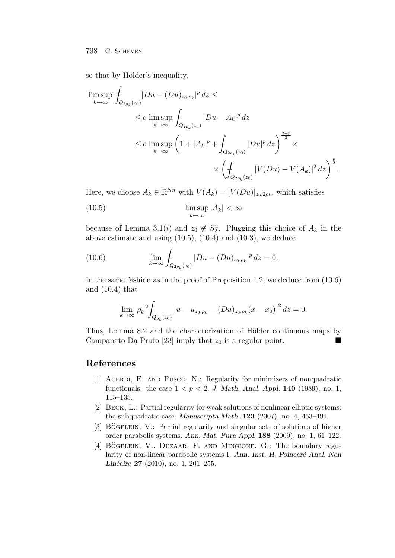so that by Hölder's inequality,

$$
\limsup_{k \to \infty} \oint_{Q_{2\rho_k}(z_0)} |Du - (Du)_{z_0, \rho_k}|^p dz \le
$$
\n
$$
\le c \limsup_{k \to \infty} \oint_{Q_{2\rho_k}(z_0)} |Du - A_k|^p dz
$$
\n
$$
\le c \limsup_{k \to \infty} \left(1 + |A_k|^p + \oint_{Q_{2\rho_k}(z_0)} |Du|^p dz\right)^{\frac{2-p}{2}} \times
$$
\n
$$
\times \left(\oint_{Q_{2\rho_k}(z_0)} |V(Du) - V(A_k)|^2 dz\right)^{\frac{p}{2}}.
$$

Here, we choose  $A_k \in \mathbb{R}^{Nn}$  with  $V(A_k)=[V(Du)]_{z_0,2\rho_k}$ , which satisfies

(10.5) 
$$
\limsup_{k \to \infty} |A_k| < \infty
$$

because of Lemma 3.1(*i*) and  $z_0 \notin S_2^u$ . Plugging this choice of  $A_k$  in the above estimate and using  $(10.5)$ ,  $(10.4)$  and  $(10.3)$ , we deduce

(10.6) 
$$
\lim_{k \to \infty} \int_{Q_{2\rho_k}(z_0)} |Du - (Du)_{z_0, \rho_k}|^p dz = 0.
$$

In the same fashion as in the proof of Proposition 1.2, we deduce from (10.6) and (10.4) that

$$
\lim_{k \to \infty} \rho_k^{-2} \int_{Q_{\rho_k}(z_0)} \left| u - u_{z_0, \rho_k} - (Du)_{z_0, \rho_k} (x - x_0) \right|^2 dz = 0.
$$

Thus, Lemma 8.2 and the characterization of Hölder continuous maps by Campanato-Da Prato [23] imply that  $z_0$  is a regular point. П

## **References**

- [1] Acerbi, E. and Fusco, N.: Regularity for minimizers of nonquadratic functionals: the case  $1 < p < 2$ . *J. Math. Anal. Appl.* **140** (1989), no. 1, 115–135.
- [2] Beck, L.: Partial regularity for weak solutions of nonlinear elliptic systems: the subquadratic case. *Manuscripta Math.* **123** (2007), no. 4, 453–491.
- [3] BÖGELEIN, V.: Partial regularity and singular sets of solutions of higher order parabolic systems. *Ann. Mat. Pura Appl.* **188** (2009), no. 1, 61–122.
- [4] BÖGELEIN, V., DUZAAR, F. AND MINGIONE, G.: The boundary regularity of non-linear parabolic systems I. *Ann. Inst. H. Poincaré Anal. Non Linéaire* **27** (2010), no. 1, 201–255.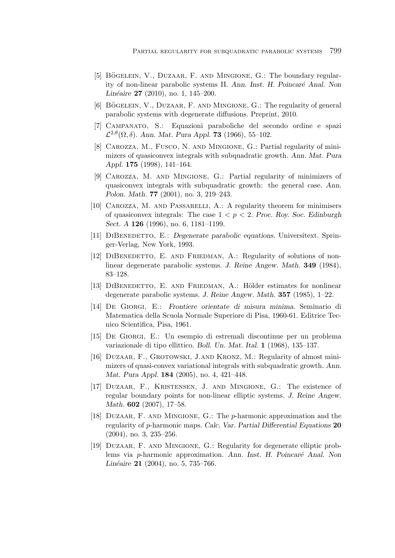- [5] BÖGELEIN, V., DUZAAR, F. AND MINGIONE, G.: The boundary regularity of non-linear parabolic systems II. *Ann. Inst. H. Poincaré Anal. Non Linéaire* **27** (2010), no. 1, 145–200.
- [6] BÖGELEIN, V., DUZAAR, F. AND MINGIONE, G.: The regularity of general parabolic systems with degenerate diffusions. Preprint, 2010.
- [7] Campanato, S.: Equazioni paraboliche del secondo ordine e spazi  $\mathcal{L}^{2,\theta}(\Omega,\delta)$ . *Ann. Mat. Pura Appl.* **73** (1966), 55–102.
- [8] Carozza, M., Fusco, N. and Mingione, G.: Partial regularity of minimizers of quasiconvex integrals with subquadratic growth. *Ann. Mat. Pura Appl.* **175** (1998), 141–164.
- [9] Carozza, M. and Mingione, G.: Partial regularity of minimizers of quasiconvex integrals with subquadratic growth: the general case. *Ann. Polon. Math.* **77** (2001), no. 3, 219–243.
- [10] Carozza, M. and Passarelli, A.: A regularity theorem for minimisers of quasiconvex integrals: The case  $1 < p < 2$ . *Proc. Roy. Soc. Edinburgh Sect. A* **126** (1996), no. 6, 1181–1199.
- [11] DiBenedetto, E.: *Degenerate parabolic equations.* Universitext. Springer-Verlag, New York, 1993.
- [12] DiBenedetto, E. and Friedman, A.: Regularity of solutions of nonlinear degenerate parabolic systems. *J. Reine Angew. Math.* **349** (1984), 83–128.
- [13] DIBENEDETTO, E. AND FRIEDMAN, A.: Hölder estimates for nonlinear degenerate parabolic systems. *J. Reine Angew. Math.* **357** (1985), 1–22.
- [14] De Giorgi, E.: *Frontiere orientate di misura minima.* Seminario di Matematica della Scuola Normale Superiore di Pisa, 1960-61. Editrice Tecnico Scientifica, Pisa, 1961.
- [15] De Giorgi, E.: Un esempio di estremali discontinue per un problema variazionale di tipo ellittico. *Boll. Un. Mat. Ital.* **1** (1968), 135–137.
- [16] Duzaar, F., Grotowski, J.and Kronz, M.: Regularity of almost minimizers of quasi-convex variational integrals with subquadratic growth. *Ann. Mat. Pura Appl.* **184** (2005), no. 4, 421–448.
- [17] Duzaar, F., Kristensen, J. and Mingione, G.: The existence of regular boundary points for non-linear elliptic systems. *J. Reine Angew. Math.* **602** (2007), 17–58.
- [18] Duzaar, F. and Mingione, G.: The p-harmonic approximation and the regularity of p-harmonic maps. *Calc. Var. Partial Differential Equations* **20** (2004), no. 3, 235–256.
- [19] Duzaar, F. and Mingione, G.: Regularity for degenerate elliptic problems via *p*-harmonic approximation. Ann. Inst. H. Poincaré Anal. Non *Lin´eaire* **21** (2004), no. 5, 735–766.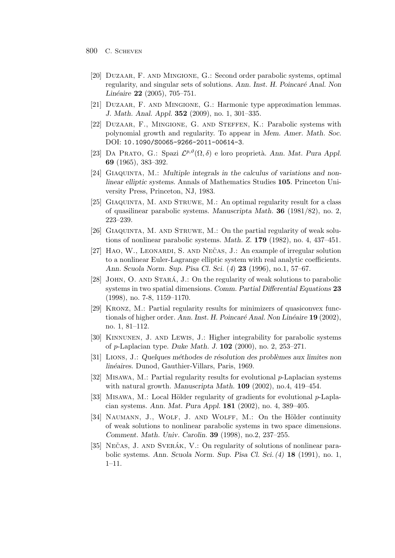- 800 C. Scheven
	- [20] Duzaar, F. and Mingione, G.: Second order parabolic systems, optimal regularity, and singular sets of solutions. Ann. Inst. H. Poincaré Anal. Non *Lin´eaire* **22** (2005), 705–751.
	- [21] Duzaar, F. and Mingione, G.: Harmonic type approximation lemmas. *J. Math. Anal. Appl.* **352** (2009), no. 1, 301–335.
	- [22] Duzaar, F., Mingione, G. and Steffen, K.: Parabolic systems with polynomial growth and regularity. To appear in *Mem. Amer. Math. Soc.* DOI: 10.1090/S0065-9266-2011-00614-3.
	- [23] DA PRATO, G.: Spazi  $\mathcal{L}^{p,\vartheta}(\Omega,\delta)$  e loro proprietà. *Ann. Mat. Pura Appl.* **69** (1965), 383–392.
	- [24] GIAQUINTA, M.: *Multiple integrals in the calculus of variations and nonlinear elliptic systems.* Annals of Mathematics Studies **105**. Princeton University Press, Princeton, NJ, 1983.
	- [25] GIAQUINTA, M. AND STRUWE, M.: An optimal regularity result for a class of quasilinear parabolic systems. *Manuscripta Math.* **36** (1981/82), no. 2, 223–239.
	- [26] Giaquinta, M. and Struwe, M.: On the partial regularity of weak solutions of nonlinear parabolic systems. *Math. Z.* **179** (1982), no. 4, 437–451.
	- [27]  $HAO, W, LEONARDI, S, AND NEČAS, J.: An example of irregular solution$ to a nonlinear Euler-Lagrange elliptic system with real analytic coefficients. *Ann. Scuola Norm. Sup. Pisa Cl. Sci.* (*4*) **23** (1996), no.1, 57–67.
	- [28] JOHN, O. AND STARÁ, J.: On the regularity of weak solutions to parabolic systems in two spatial dimensions. *Comm. Partial Differential Equations* **23** (1998), no. 7-8, 1159–1170.
	- [29] Kronz, M.: Partial regularity results for minimizers of quasiconvex functionals of higher order. Ann. Inst. H. Poincaré Anal. Non Linéaire **19** (2002), no. 1, 81–112.
	- [30] Kinnunen, J. and Lewis, J.: Higher integrability for parabolic systems of p-Laplacian type. *Duke Math. J.* **102** (2000), no. 2, 253–271.
	- [31] Lions, J.: *Quelques m´ethodes de r´esolution des probl`emes aux limites non lin´eaires.* Dunod, Gauthier-Villars, Paris, 1969.
	- [32] Misawa, M.: Partial regularity results for evolutional p-Laplacian systems with natural growth. *Manuscripta Math.* **109** (2002), no.4, 419–454.
	- [33] MISAWA, M.: Local Hölder regularity of gradients for evolutional  $p$ -Laplacian systems. *Ann. Mat. Pura Appl.* **181** (2002), no. 4, 389–405.
	- [34] NAUMANN, J., WOLF, J. AND WOLFF, M.: On the Hölder continuity of weak solutions to nonlinear parabolic systems in two space dimensions. *Comment. Math. Univ. Carolin.* **39** (1998), no.2, 237–255.
	- [35] NECAS, J. AND SVERÁK, V.: On regularity of solutions of nonlinear parabolic systems. *Ann. Scuola Norm. Sup. Pisa Cl. Sci. (4)* **18** (1991), no. 1, 1–11.